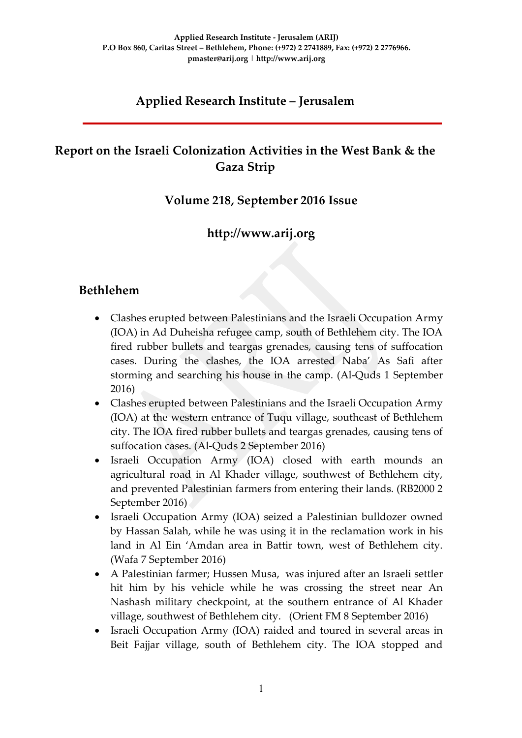## **Applied Research Institute – Jerusalem**

## **Report on the Israeli Colonization Activities in the West Bank & the Gaza Strip**

### **Volume 218, September 2016 Issue**

## **http://www.arij.org**

### **Bethlehem**

- Clashes erupted between Palestinians and the Israeli Occupation Army (IOA) in Ad Duheisha refugee camp, south of Bethlehem city. The IOA fired rubber bullets and teargas grenades, causing tens of suffocation cases. During the clashes, the IOA arrested Naba' As Safi after storming and searching his house in the camp. (Al-Quds 1 September 2016)
- Clashes erupted between Palestinians and the Israeli Occupation Army (IOA) at the western entrance of Tuqu village, southeast of Bethlehem city. The IOA fired rubber bullets and teargas grenades, causing tens of suffocation cases. (Al-Quds 2 September 2016)
- Israeli Occupation Army (IOA) closed with earth mounds an agricultural road in Al Khader village, southwest of Bethlehem city, and prevented Palestinian farmers from entering their lands. (RB2000 2 September 2016)
- Israeli Occupation Army (IOA) seized a Palestinian bulldozer owned by Hassan Salah, while he was using it in the reclamation work in his land in Al Ein 'Amdan area in Battir town, west of Bethlehem city. (Wafa 7 September 2016)
- A Palestinian farmer; Hussen Musa, was injured after an Israeli settler hit him by his vehicle while he was crossing the street near An Nashash military checkpoint, at the southern entrance of Al Khader village, southwest of Bethlehem city. (Orient FM 8 September 2016)
- Israeli Occupation Army (IOA) raided and toured in several areas in Beit Fajjar village, south of Bethlehem city. The IOA stopped and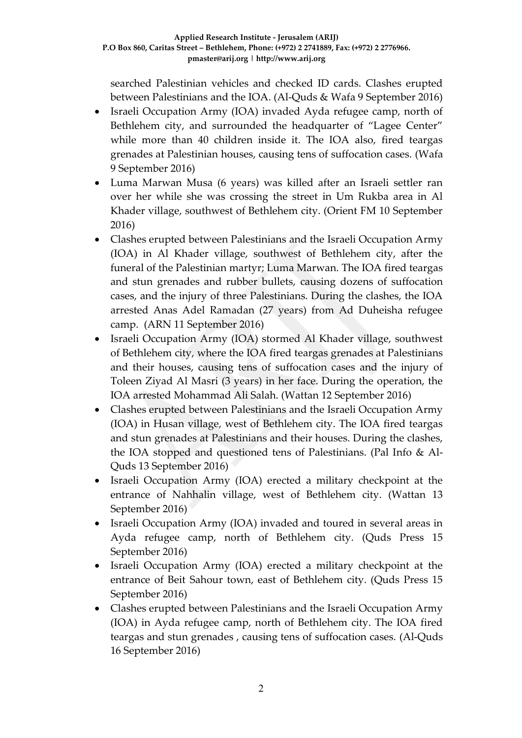searched Palestinian vehicles and checked ID cards. Clashes erupted between Palestinians and the IOA. (Al-Quds & Wafa 9 September 2016)

- Israeli Occupation Army (IOA) invaded Ayda refugee camp, north of Bethlehem city, and surrounded the headquarter of "Lagee Center" while more than 40 children inside it. The IOA also, fired teargas grenades at Palestinian houses, causing tens of suffocation cases. (Wafa 9 September 2016)
- Luma Marwan Musa (6 years) was killed after an Israeli settler ran over her while she was crossing the street in Um Rukba area in Al Khader village, southwest of Bethlehem city. (Orient FM 10 September 2016)
- Clashes erupted between Palestinians and the Israeli Occupation Army (IOA) in Al Khader village, southwest of Bethlehem city, after the funeral of the Palestinian martyr; Luma Marwan. The IOA fired teargas and stun grenades and rubber bullets, causing dozens of suffocation cases, and the injury of three Palestinians. During the clashes, the IOA arrested Anas Adel Ramadan (27 years) from Ad Duheisha refugee camp. (ARN 11 September 2016)
- Israeli Occupation Army (IOA) stormed Al Khader village, southwest of Bethlehem city, where the IOA fired teargas grenades at Palestinians and their houses, causing tens of suffocation cases and the injury of Toleen Ziyad Al Masri (3 years) in her face. During the operation, the IOA arrested Mohammad Ali Salah. (Wattan 12 September 2016)
- Clashes erupted between Palestinians and the Israeli Occupation Army (IOA) in Husan village, west of Bethlehem city. The IOA fired teargas and stun grenades at Palestinians and their houses. During the clashes, the IOA stopped and questioned tens of Palestinians. (Pal Info & Al-Quds 13 September 2016)
- Israeli Occupation Army (IOA) erected a military checkpoint at the entrance of Nahhalin village, west of Bethlehem city. (Wattan 13 September 2016)
- Israeli Occupation Army (IOA) invaded and toured in several areas in Ayda refugee camp, north of Bethlehem city. (Quds Press 15 September 2016)
- Israeli Occupation Army (IOA) erected a military checkpoint at the entrance of Beit Sahour town, east of Bethlehem city. (Quds Press 15 September 2016)
- Clashes erupted between Palestinians and the Israeli Occupation Army (IOA) in Ayda refugee camp, north of Bethlehem city. The IOA fired teargas and stun grenades , causing tens of suffocation cases. (Al-Quds 16 September 2016)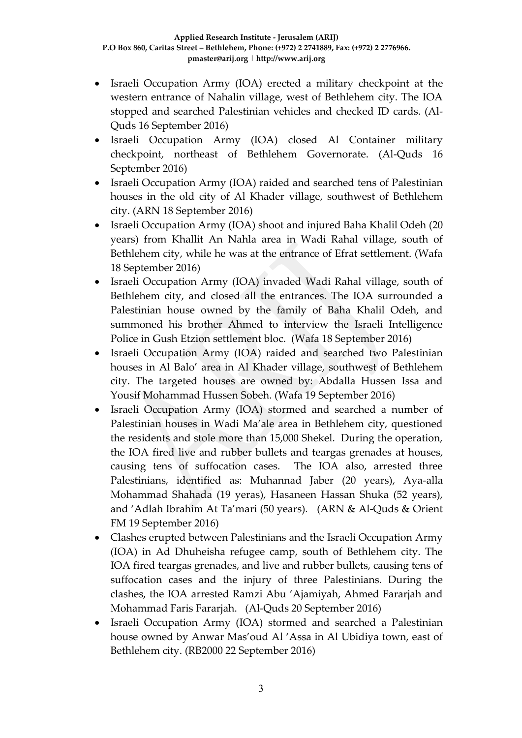- Israeli Occupation Army (IOA) erected a military checkpoint at the western entrance of Nahalin village, west of Bethlehem city. The IOA stopped and searched Palestinian vehicles and checked ID cards. (Al-Quds 16 September 2016)
- Israeli Occupation Army (IOA) closed Al Container military checkpoint, northeast of Bethlehem Governorate. (Al-Quds 16 September 2016)
- Israeli Occupation Army (IOA) raided and searched tens of Palestinian houses in the old city of Al Khader village, southwest of Bethlehem city. (ARN 18 September 2016)
- Israeli Occupation Army (IOA) shoot and injured Baha Khalil Odeh (20 years) from Khallit An Nahla area in Wadi Rahal village, south of Bethlehem city, while he was at the entrance of Efrat settlement. (Wafa 18 September 2016)
- Israeli Occupation Army (IOA) invaded Wadi Rahal village, south of Bethlehem city, and closed all the entrances. The IOA surrounded a Palestinian house owned by the family of Baha Khalil Odeh, and summoned his brother Ahmed to interview the Israeli Intelligence Police in Gush Etzion settlement bloc. (Wafa 18 September 2016)
- Israeli Occupation Army (IOA) raided and searched two Palestinian houses in Al Balo' area in Al Khader village, southwest of Bethlehem city. The targeted houses are owned by: Abdalla Hussen Issa and Yousif Mohammad Hussen Sobeh. (Wafa 19 September 2016)
- Israeli Occupation Army (IOA) stormed and searched a number of Palestinian houses in Wadi Ma'ale area in Bethlehem city, questioned the residents and stole more than 15,000 Shekel. During the operation, the IOA fired live and rubber bullets and teargas grenades at houses, causing tens of suffocation cases. The IOA also, arrested three Palestinians, identified as: Muhannad Jaber (20 years), Aya-alla Mohammad Shahada (19 yeras), Hasaneen Hassan Shuka (52 years), and 'Adlah Ibrahim At Ta'mari (50 years). (ARN & Al-Quds & Orient FM 19 September 2016)
- Clashes erupted between Palestinians and the Israeli Occupation Army (IOA) in Ad Dhuheisha refugee camp, south of Bethlehem city. The IOA fired teargas grenades, and live and rubber bullets, causing tens of suffocation cases and the injury of three Palestinians. During the clashes, the IOA arrested Ramzi Abu 'Ajamiyah, Ahmed Fararjah and Mohammad Faris Fararjah. (Al-Quds 20 September 2016)
- Israeli Occupation Army (IOA) stormed and searched a Palestinian house owned by Anwar Mas'oud Al 'Assa in Al Ubidiya town, east of Bethlehem city. (RB2000 22 September 2016)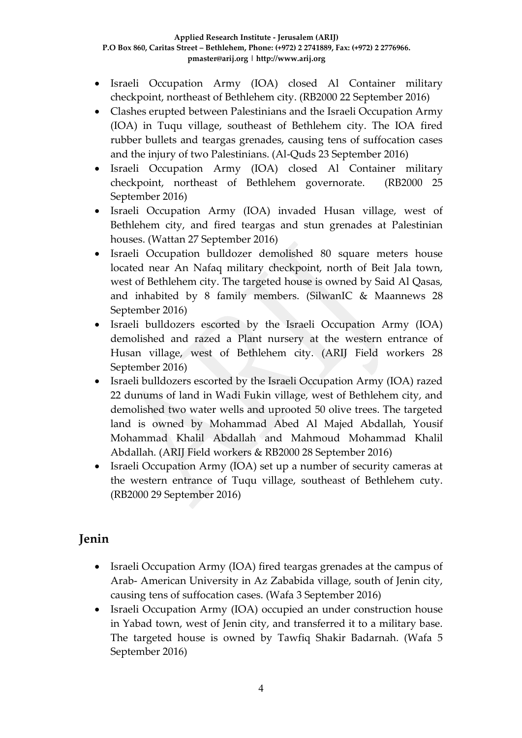- Israeli Occupation Army (IOA) closed Al Container military checkpoint, northeast of Bethlehem city. (RB2000 22 September 2016)
- Clashes erupted between Palestinians and the Israeli Occupation Army (IOA) in Tuqu village, southeast of Bethlehem city. The IOA fired rubber bullets and teargas grenades, causing tens of suffocation cases and the injury of two Palestinians. (Al-Quds 23 September 2016)
- Israeli Occupation Army (IOA) closed Al Container military checkpoint, northeast of Bethlehem governorate. (RB2000 25 September 2016)
- Israeli Occupation Army (IOA) invaded Husan village, west of Bethlehem city, and fired teargas and stun grenades at Palestinian houses. (Wattan 27 September 2016)
- Israeli Occupation bulldozer demolished 80 square meters house located near An Nafaq military checkpoint, north of Beit Jala town, west of Bethlehem city. The targeted house is owned by Said Al Qasas, and inhabited by 8 family members. (SilwanIC & Maannews 28 September 2016)
- Israeli bulldozers escorted by the Israeli Occupation Army (IOA) demolished and razed a Plant nursery at the western entrance of Husan village, west of Bethlehem city. (ARIJ Field workers 28 September 2016)
- Israeli bulldozers escorted by the Israeli Occupation Army (IOA) razed 22 dunums of land in Wadi Fukin village, west of Bethlehem city, and demolished two water wells and uprooted 50 olive trees. The targeted land is owned by Mohammad Abed Al Majed Abdallah, Yousif Mohammad Khalil Abdallah and Mahmoud Mohammad Khalil Abdallah. (ARIJ Field workers & RB2000 28 September 2016)
- Israeli Occupation Army (IOA) set up a number of security cameras at the western entrance of Tuqu village, southeast of Bethlehem cuty. (RB2000 29 September 2016)

## **Jenin**

- Israeli Occupation Army (IOA) fired teargas grenades at the campus of Arab- American University in Az Zababida village, south of Jenin city, causing tens of suffocation cases. (Wafa 3 September 2016)
- Israeli Occupation Army (IOA) occupied an under construction house in Yabad town, west of Jenin city, and transferred it to a military base. The targeted house is owned by Tawfiq Shakir Badarnah. (Wafa 5 September 2016)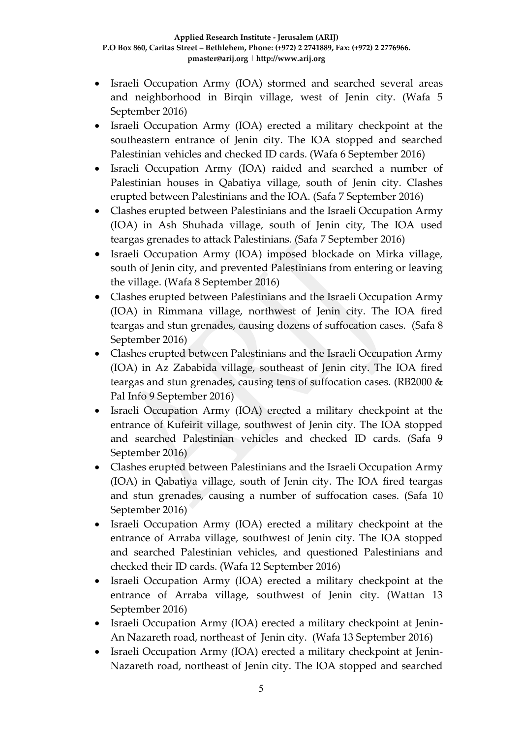- Israeli Occupation Army (IOA) stormed and searched several areas and neighborhood in Birqin village, west of Jenin city. (Wafa 5 September 2016)
- Israeli Occupation Army (IOA) erected a military checkpoint at the southeastern entrance of Jenin city. The IOA stopped and searched Palestinian vehicles and checked ID cards. (Wafa 6 September 2016)
- Israeli Occupation Army (IOA) raided and searched a number of Palestinian houses in Qabatiya village, south of Jenin city. Clashes erupted between Palestinians and the IOA. (Safa 7 September 2016)
- Clashes erupted between Palestinians and the Israeli Occupation Army (IOA) in Ash Shuhada village, south of Jenin city, The IOA used teargas grenades to attack Palestinians. (Safa 7 September 2016)
- Israeli Occupation Army (IOA) imposed blockade on Mirka village, south of Jenin city, and prevented Palestinians from entering or leaving the village. (Wafa 8 September 2016)
- Clashes erupted between Palestinians and the Israeli Occupation Army (IOA) in Rimmana village, northwest of Jenin city. The IOA fired teargas and stun grenades, causing dozens of suffocation cases. (Safa 8 September 2016)
- Clashes erupted between Palestinians and the Israeli Occupation Army (IOA) in Az Zababida village, southeast of Jenin city. The IOA fired teargas and stun grenades, causing tens of suffocation cases. (RB2000 & Pal Info 9 September 2016)
- Israeli Occupation Army (IOA) erected a military checkpoint at the entrance of Kufeirit village, southwest of Jenin city. The IOA stopped and searched Palestinian vehicles and checked ID cards. (Safa 9 September 2016)
- Clashes erupted between Palestinians and the Israeli Occupation Army (IOA) in Qabatiya village, south of Jenin city. The IOA fired teargas and stun grenades, causing a number of suffocation cases. (Safa 10 September 2016)
- Israeli Occupation Army (IOA) erected a military checkpoint at the entrance of Arraba village, southwest of Jenin city. The IOA stopped and searched Palestinian vehicles, and questioned Palestinians and checked their ID cards. (Wafa 12 September 2016)
- Israeli Occupation Army (IOA) erected a military checkpoint at the entrance of Arraba village, southwest of Jenin city. (Wattan 13 September 2016)
- Israeli Occupation Army (IOA) erected a military checkpoint at Jenin-An Nazareth road, northeast of Jenin city. (Wafa 13 September 2016)
- Israeli Occupation Army (IOA) erected a military checkpoint at Jenin-Nazareth road, northeast of Jenin city. The IOA stopped and searched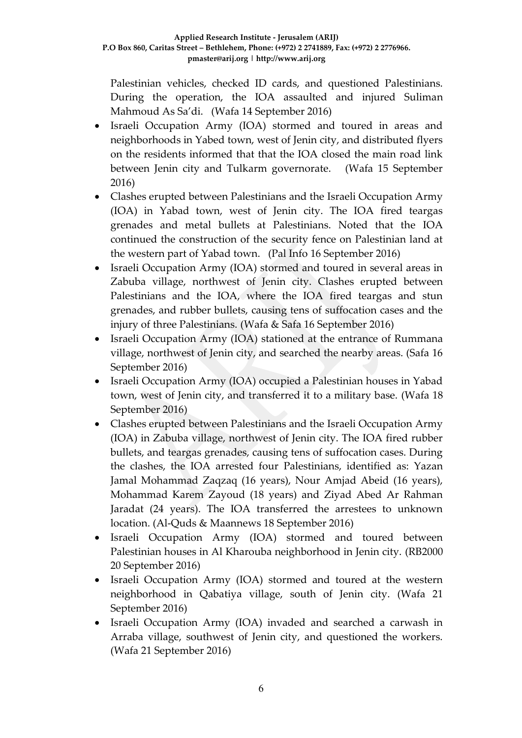Palestinian vehicles, checked ID cards, and questioned Palestinians. During the operation, the IOA assaulted and injured Suliman Mahmoud As Sa'di. (Wafa 14 September 2016)

- Israeli Occupation Army (IOA) stormed and toured in areas and neighborhoods in Yabed town, west of Jenin city, and distributed flyers on the residents informed that that the IOA closed the main road link between Jenin city and Tulkarm governorate. (Wafa 15 September 2016)
- Clashes erupted between Palestinians and the Israeli Occupation Army (IOA) in Yabad town, west of Jenin city. The IOA fired teargas grenades and metal bullets at Palestinians. Noted that the IOA continued the construction of the security fence on Palestinian land at the western part of Yabad town. (Pal Info 16 September 2016)
- Israeli Occupation Army (IOA) stormed and toured in several areas in Zabuba village, northwest of Jenin city. Clashes erupted between Palestinians and the IOA, where the IOA fired teargas and stun grenades, and rubber bullets, causing tens of suffocation cases and the injury of three Palestinians. (Wafa & Safa 16 September 2016)
- Israeli Occupation Army (IOA) stationed at the entrance of Rummana village, northwest of Jenin city, and searched the nearby areas. (Safa 16 September 2016)
- Israeli Occupation Army (IOA) occupied a Palestinian houses in Yabad town, west of Jenin city, and transferred it to a military base. (Wafa 18 September 2016)
- Clashes erupted between Palestinians and the Israeli Occupation Army (IOA) in Zabuba village, northwest of Jenin city. The IOA fired rubber bullets, and teargas grenades, causing tens of suffocation cases. During the clashes, the IOA arrested four Palestinians, identified as: Yazan Jamal Mohammad Zaqzaq (16 years), Nour Amjad Abeid (16 years), Mohammad Karem Zayoud (18 years) and Ziyad Abed Ar Rahman Jaradat (24 years). The IOA transferred the arrestees to unknown location. (Al-Quds & Maannews 18 September 2016)
- Israeli Occupation Army (IOA) stormed and toured between Palestinian houses in Al Kharouba neighborhood in Jenin city. (RB2000 20 September 2016)
- Israeli Occupation Army (IOA) stormed and toured at the western neighborhood in Qabatiya village, south of Jenin city. (Wafa 21 September 2016)
- Israeli Occupation Army (IOA) invaded and searched a carwash in Arraba village, southwest of Jenin city, and questioned the workers. (Wafa 21 September 2016)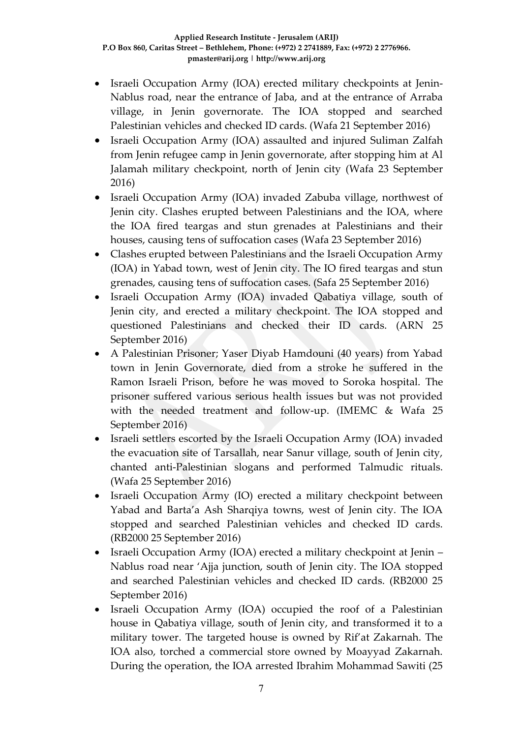- Israeli Occupation Army (IOA) erected military checkpoints at Jenin-Nablus road, near the entrance of Jaba, and at the entrance of Arraba village, in Jenin governorate. The IOA stopped and searched Palestinian vehicles and checked ID cards. (Wafa 21 September 2016)
- Israeli Occupation Army (IOA) assaulted and injured Suliman Zalfah from Jenin refugee camp in Jenin governorate, after stopping him at Al Jalamah military checkpoint, north of Jenin city (Wafa 23 September 2016)
- Israeli Occupation Army (IOA) invaded Zabuba village, northwest of Jenin city. Clashes erupted between Palestinians and the IOA, where the IOA fired teargas and stun grenades at Palestinians and their houses, causing tens of suffocation cases (Wafa 23 September 2016)
- Clashes erupted between Palestinians and the Israeli Occupation Army (IOA) in Yabad town, west of Jenin city. The IO fired teargas and stun grenades, causing tens of suffocation cases. (Safa 25 September 2016)
- Israeli Occupation Army (IOA) invaded Qabatiya village, south of Jenin city, and erected a military checkpoint. The IOA stopped and questioned Palestinians and checked their ID cards. (ARN 25 September 2016)
- A Palestinian Prisoner; Yaser Diyab Hamdouni (40 years) from Yabad town in Jenin Governorate, died from a stroke he suffered in the Ramon Israeli Prison, before he was moved to Soroka hospital. The prisoner suffered various serious health issues but was not provided with the needed treatment and follow-up. (IMEMC & Wafa 25 September 2016)
- Israeli settlers escorted by the Israeli Occupation Army (IOA) invaded the evacuation site of Tarsallah, near Sanur village, south of Jenin city, chanted anti-Palestinian slogans and performed Talmudic rituals. (Wafa 25 September 2016)
- Israeli Occupation Army (IO) erected a military checkpoint between Yabad and Barta'a Ash Sharqiya towns, west of Jenin city. The IOA stopped and searched Palestinian vehicles and checked ID cards. (RB2000 25 September 2016)
- Israeli Occupation Army (IOA) erected a military checkpoint at Jenin Nablus road near 'Ajja junction, south of Jenin city. The IOA stopped and searched Palestinian vehicles and checked ID cards. (RB2000 25 September 2016)
- Israeli Occupation Army (IOA) occupied the roof of a Palestinian house in Qabatiya village, south of Jenin city, and transformed it to a military tower. The targeted house is owned by Rif'at Zakarnah. The IOA also, torched a commercial store owned by Moayyad Zakarnah. During the operation, the IOA arrested Ibrahim Mohammad Sawiti (25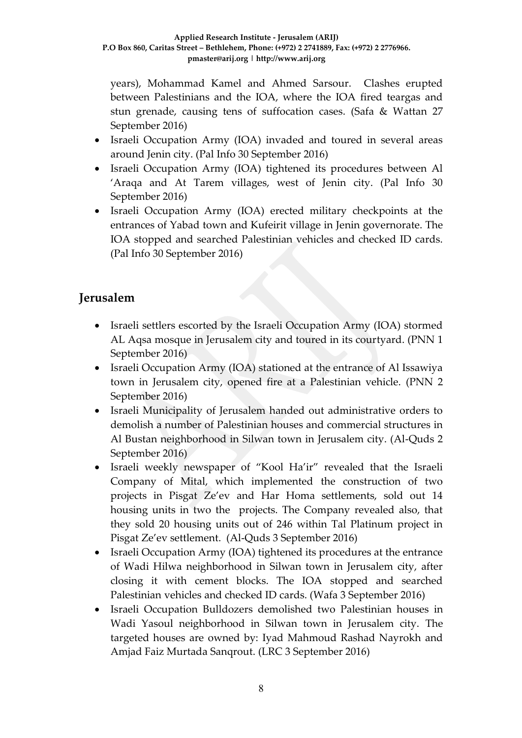years), Mohammad Kamel and Ahmed Sarsour. Clashes erupted between Palestinians and the IOA, where the IOA fired teargas and stun grenade, causing tens of suffocation cases. (Safa & Wattan 27 September 2016)

- Israeli Occupation Army (IOA) invaded and toured in several areas around Jenin city. (Pal Info 30 September 2016)
- Israeli Occupation Army (IOA) tightened its procedures between Al 'Araqa and At Tarem villages, west of Jenin city. (Pal Info 30 September 2016)
- Israeli Occupation Army (IOA) erected military checkpoints at the entrances of Yabad town and Kufeirit village in Jenin governorate. The IOA stopped and searched Palestinian vehicles and checked ID cards. (Pal Info 30 September 2016)

## **Jerusalem**

- Israeli settlers escorted by the Israeli Occupation Army (IOA) stormed AL Aqsa mosque in Jerusalem city and toured in its courtyard. (PNN 1 September 2016)
- Israeli Occupation Army (IOA) stationed at the entrance of Al Issawiya town in Jerusalem city, opened fire at a Palestinian vehicle. (PNN 2 September 2016)
- Israeli Municipality of Jerusalem handed out administrative orders to demolish a number of Palestinian houses and commercial structures in Al Bustan neighborhood in Silwan town in Jerusalem city. (Al-Quds 2 September 2016)
- Israeli weekly newspaper of "Kool Ha'ir" revealed that the Israeli Company of Mital, which implemented the construction of two projects in Pisgat Ze'ev and Har Homa settlements, sold out 14 housing units in two the projects. The Company revealed also, that they sold 20 housing units out of 246 within Tal Platinum project in Pisgat Ze'ev settlement. (Al-Quds 3 September 2016)
- Israeli Occupation Army (IOA) tightened its procedures at the entrance of Wadi Hilwa neighborhood in Silwan town in Jerusalem city, after closing it with cement blocks. The IOA stopped and searched Palestinian vehicles and checked ID cards. (Wafa 3 September 2016)
- Israeli Occupation Bulldozers demolished two Palestinian houses in Wadi Yasoul neighborhood in Silwan town in Jerusalem city. The targeted houses are owned by: Iyad Mahmoud Rashad Nayrokh and Amjad Faiz Murtada Sanqrout. (LRC 3 September 2016)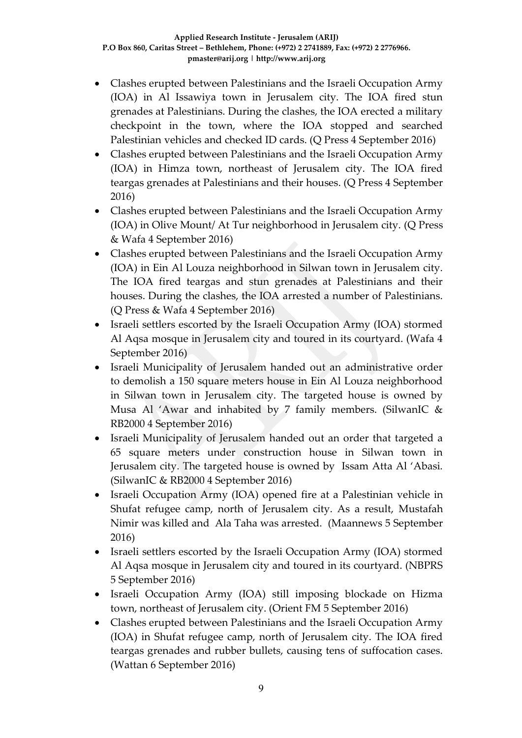- Clashes erupted between Palestinians and the Israeli Occupation Army (IOA) in Al Issawiya town in Jerusalem city. The IOA fired stun grenades at Palestinians. During the clashes, the IOA erected a military checkpoint in the town, where the IOA stopped and searched Palestinian vehicles and checked ID cards. (Q Press 4 September 2016)
- Clashes erupted between Palestinians and the Israeli Occupation Army (IOA) in Himza town, northeast of Jerusalem city. The IOA fired teargas grenades at Palestinians and their houses. (Q Press 4 September 2016)
- Clashes erupted between Palestinians and the Israeli Occupation Army (IOA) in Olive Mount/ At Tur neighborhood in Jerusalem city. (Q Press & Wafa 4 September 2016)
- Clashes erupted between Palestinians and the Israeli Occupation Army (IOA) in Ein Al Louza neighborhood in Silwan town in Jerusalem city. The IOA fired teargas and stun grenades at Palestinians and their houses. During the clashes, the IOA arrested a number of Palestinians. (Q Press & Wafa 4 September 2016)
- Israeli settlers escorted by the Israeli Occupation Army (IOA) stormed Al Aqsa mosque in Jerusalem city and toured in its courtyard. (Wafa 4 September 2016)
- Israeli Municipality of Jerusalem handed out an administrative order to demolish a 150 square meters house in Ein Al Louza neighborhood in Silwan town in Jerusalem city. The targeted house is owned by Musa Al 'Awar and inhabited by 7 family members. (SilwanIC & RB2000 4 September 2016)
- Israeli Municipality of Jerusalem handed out an order that targeted a 65 square meters under construction house in Silwan town in Jerusalem city. The targeted house is owned by Issam Atta Al 'Abasi. (SilwanIC & RB2000 4 September 2016)
- Israeli Occupation Army (IOA) opened fire at a Palestinian vehicle in Shufat refugee camp, north of Jerusalem city. As a result, Mustafah Nimir was killed and Ala Taha was arrested. (Maannews 5 September 2016)
- Israeli settlers escorted by the Israeli Occupation Army (IOA) stormed Al Aqsa mosque in Jerusalem city and toured in its courtyard. (NBPRS 5 September 2016)
- Israeli Occupation Army (IOA) still imposing blockade on Hizma town, northeast of Jerusalem city. (Orient FM 5 September 2016)
- Clashes erupted between Palestinians and the Israeli Occupation Army (IOA) in Shufat refugee camp, north of Jerusalem city. The IOA fired teargas grenades and rubber bullets, causing tens of suffocation cases. (Wattan 6 September 2016)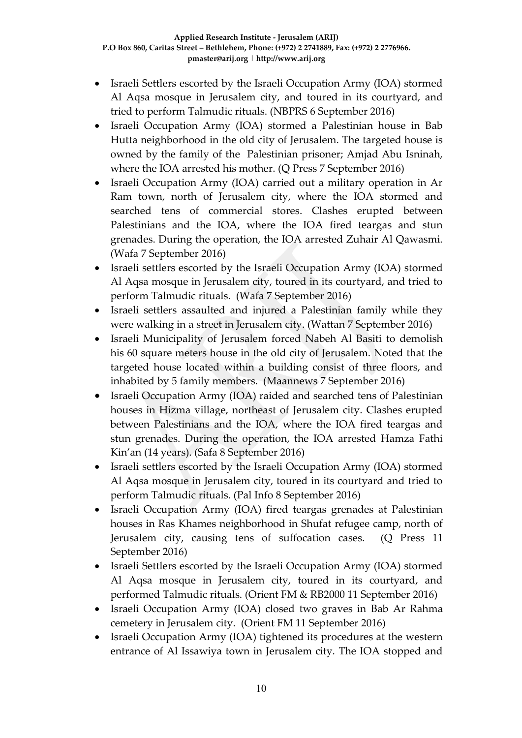- Israeli Settlers escorted by the Israeli Occupation Army (IOA) stormed Al Aqsa mosque in Jerusalem city, and toured in its courtyard, and tried to perform Talmudic rituals. (NBPRS 6 September 2016)
- Israeli Occupation Army (IOA) stormed a Palestinian house in Bab Hutta neighborhood in the old city of Jerusalem. The targeted house is owned by the family of the Palestinian prisoner; Amjad Abu Isninah, where the IOA arrested his mother. (Q Press 7 September 2016)
- Israeli Occupation Army (IOA) carried out a military operation in Ar Ram town, north of Jerusalem city, where the IOA stormed and searched tens of commercial stores. Clashes erupted between Palestinians and the IOA, where the IOA fired teargas and stun grenades. During the operation, the IOA arrested Zuhair Al Qawasmi. (Wafa 7 September 2016)
- Israeli settlers escorted by the Israeli Occupation Army (IOA) stormed Al Aqsa mosque in Jerusalem city, toured in its courtyard, and tried to perform Talmudic rituals. (Wafa 7 September 2016)
- Israeli settlers assaulted and injured a Palestinian family while they were walking in a street in Jerusalem city. (Wattan 7 September 2016)
- Israeli Municipality of Jerusalem forced Nabeh Al Basiti to demolish his 60 square meters house in the old city of Jerusalem. Noted that the targeted house located within a building consist of three floors, and inhabited by 5 family members. (Maannews 7 September 2016)
- Israeli Occupation Army (IOA) raided and searched tens of Palestinian houses in Hizma village, northeast of Jerusalem city. Clashes erupted between Palestinians and the IOA, where the IOA fired teargas and stun grenades. During the operation, the IOA arrested Hamza Fathi Kin'an (14 years). (Safa 8 September 2016)
- Israeli settlers escorted by the Israeli Occupation Army (IOA) stormed Al Aqsa mosque in Jerusalem city, toured in its courtyard and tried to perform Talmudic rituals. (Pal Info 8 September 2016)
- Israeli Occupation Army (IOA) fired teargas grenades at Palestinian houses in Ras Khames neighborhood in Shufat refugee camp, north of Jerusalem city, causing tens of suffocation cases. (Q Press 11 September 2016)
- Israeli Settlers escorted by the Israeli Occupation Army (IOA) stormed Al Aqsa mosque in Jerusalem city, toured in its courtyard, and performed Talmudic rituals. (Orient FM & RB2000 11 September 2016)
- Israeli Occupation Army (IOA) closed two graves in Bab Ar Rahma cemetery in Jerusalem city. (Orient FM 11 September 2016)
- Israeli Occupation Army (IOA) tightened its procedures at the western entrance of Al Issawiya town in Jerusalem city. The IOA stopped and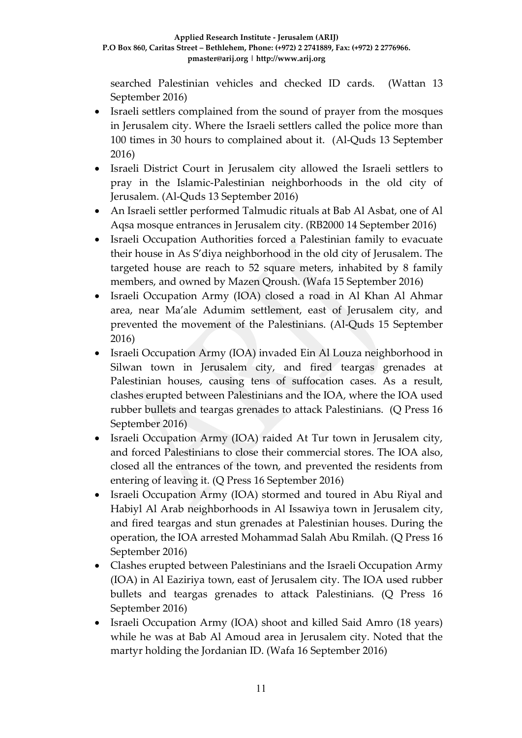searched Palestinian vehicles and checked ID cards. (Wattan 13 September 2016)

- Israeli settlers complained from the sound of prayer from the mosques in Jerusalem city. Where the Israeli settlers called the police more than 100 times in 30 hours to complained about it. (Al-Quds 13 September 2016)
- Israeli District Court in Jerusalem city allowed the Israeli settlers to pray in the Islamic-Palestinian neighborhoods in the old city of Jerusalem. (Al-Quds 13 September 2016)
- An Israeli settler performed Talmudic rituals at Bab Al Asbat, one of Al Aqsa mosque entrances in Jerusalem city. (RB2000 14 September 2016)
- Israeli Occupation Authorities forced a Palestinian family to evacuate their house in As S'diya neighborhood in the old city of Jerusalem. The targeted house are reach to 52 square meters, inhabited by 8 family members, and owned by Mazen Qroush. (Wafa 15 September 2016)
- Israeli Occupation Army (IOA) closed a road in Al Khan Al Ahmar area, near Ma'ale Adumim settlement, east of Jerusalem city, and prevented the movement of the Palestinians. (Al-Quds 15 September 2016)
- Israeli Occupation Army (IOA) invaded Ein Al Louza neighborhood in Silwan town in Jerusalem city, and fired teargas grenades at Palestinian houses, causing tens of suffocation cases. As a result, clashes erupted between Palestinians and the IOA, where the IOA used rubber bullets and teargas grenades to attack Palestinians. (Q Press 16 September 2016)
- Israeli Occupation Army (IOA) raided At Tur town in Jerusalem city, and forced Palestinians to close their commercial stores. The IOA also, closed all the entrances of the town, and prevented the residents from entering of leaving it. (Q Press 16 September 2016)
- Israeli Occupation Army (IOA) stormed and toured in Abu Riyal and Habiyl Al Arab neighborhoods in Al Issawiya town in Jerusalem city, and fired teargas and stun grenades at Palestinian houses. During the operation, the IOA arrested Mohammad Salah Abu Rmilah. (Q Press 16 September 2016)
- Clashes erupted between Palestinians and the Israeli Occupation Army (IOA) in Al Eaziriya town, east of Jerusalem city. The IOA used rubber bullets and teargas grenades to attack Palestinians. (Q Press 16 September 2016)
- Israeli Occupation Army (IOA) shoot and killed Said Amro (18 years) while he was at Bab Al Amoud area in Jerusalem city. Noted that the martyr holding the Jordanian ID. (Wafa 16 September 2016)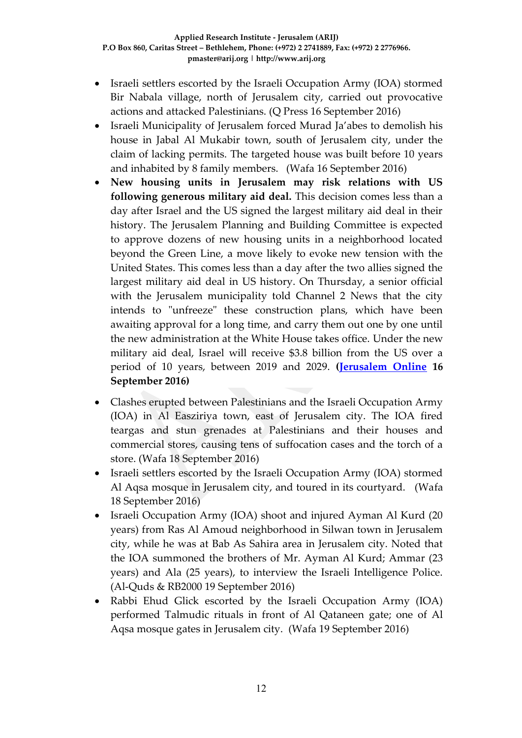- Israeli settlers escorted by the Israeli Occupation Army (IOA) stormed Bir Nabala village, north of Jerusalem city, carried out provocative actions and attacked Palestinians. (Q Press 16 September 2016)
- Israeli Municipality of Jerusalem forced Murad Ja'abes to demolish his house in Jabal Al Mukabir town, south of Jerusalem city, under the claim of lacking permits. The targeted house was built before 10 years and inhabited by 8 family members. (Wafa 16 September 2016)
- **New housing units in Jerusalem may risk relations with US following generous military aid deal.** This decision comes less than a day after Israel and the US signed the largest military aid deal in their history. The Jerusalem Planning and Building Committee is expected to approve dozens of new housing units in a neighborhood located beyond the Green Line, a move likely to evoke new tension with the United States. This comes less than a day after the two allies signed the largest military aid deal in US history. On Thursday, a senior official with the Jerusalem municipality told Channel 2 News that the city intends to "unfreeze" these construction plans, which have been awaiting approval for a long time, and carry them out one by one until the new administration at the White House takes office. Under the new military aid deal, Israel will receive \$3.8 billion from the US over a period of 10 years, between 2019 and 2029. **[\(Jerusalem Online](http://www.jerusalemonline.com/news/politics-and-military/politics/jerusalem-to-approve-new-housing-units-beyond-green-line-23645%20?utm_source=ActiveCampaign&utm_medium=email&utm_content=Ehud+Barak+harshly+criticizes+Netanyahu+following+signed+US+military+aid+deal+and+more+news+from+JerusalemOnline&utm_campaign=EveningNewsletter+-+Recurring) 16 September 2016)**
- Clashes erupted between Palestinians and the Israeli Occupation Army (IOA) in Al Easziriya town, east of Jerusalem city. The IOA fired teargas and stun grenades at Palestinians and their houses and commercial stores, causing tens of suffocation cases and the torch of a store. (Wafa 18 September 2016)
- Israeli settlers escorted by the Israeli Occupation Army (IOA) stormed Al Aqsa mosque in Jerusalem city, and toured in its courtyard. (Wafa 18 September 2016)
- Israeli Occupation Army (IOA) shoot and injured Ayman Al Kurd (20 years) from Ras Al Amoud neighborhood in Silwan town in Jerusalem city, while he was at Bab As Sahira area in Jerusalem city. Noted that the IOA summoned the brothers of Mr. Ayman Al Kurd; Ammar (23 years) and Ala (25 years), to interview the Israeli Intelligence Police. (Al-Quds & RB2000 19 September 2016)
- Rabbi Ehud Glick escorted by the Israeli Occupation Army (IOA) performed Talmudic rituals in front of Al Qataneen gate; one of Al Aqsa mosque gates in Jerusalem city. (Wafa 19 September 2016)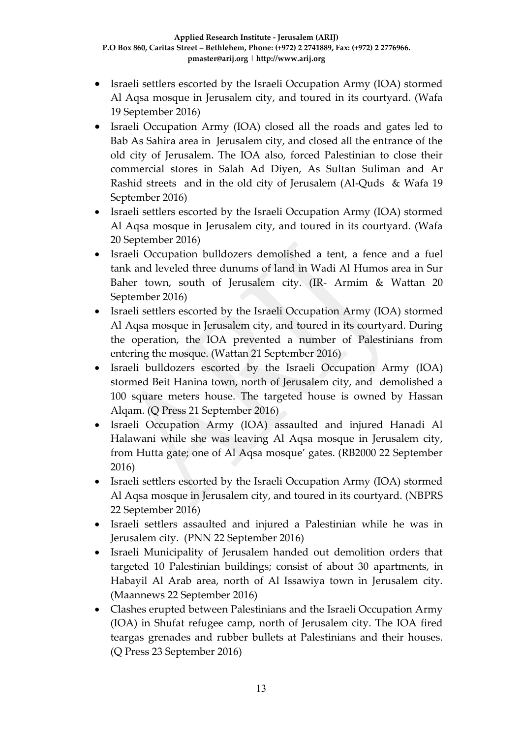- Israeli settlers escorted by the Israeli Occupation Army (IOA) stormed Al Aqsa mosque in Jerusalem city, and toured in its courtyard. (Wafa 19 September 2016)
- Israeli Occupation Army (IOA) closed all the roads and gates led to Bab As Sahira area in Jerusalem city, and closed all the entrance of the old city of Jerusalem. The IOA also, forced Palestinian to close their commercial stores in Salah Ad Diyen, As Sultan Suliman and Ar Rashid streets and in the old city of Jerusalem (Al-Quds & Wafa 19 September 2016)
- Israeli settlers escorted by the Israeli Occupation Army (IOA) stormed Al Aqsa mosque in Jerusalem city, and toured in its courtyard. (Wafa 20 September 2016)
- Israeli Occupation bulldozers demolished a tent, a fence and a fuel tank and leveled three dunums of land in Wadi Al Humos area in Sur Baher town, south of Jerusalem city. (IR- Armim & Wattan 20 September 2016)
- Israeli settlers escorted by the Israeli Occupation Army (IOA) stormed Al Aqsa mosque in Jerusalem city, and toured in its courtyard. During the operation, the IOA prevented a number of Palestinians from entering the mosque. (Wattan 21 September 2016)
- Israeli bulldozers escorted by the Israeli Occupation Army (IOA) stormed Beit Hanina town, north of Jerusalem city, and demolished a 100 square meters house. The targeted house is owned by Hassan Alqam. (Q Press 21 September 2016)
- Israeli Occupation Army (IOA) assaulted and injured Hanadi Al Halawani while she was leaving Al Aqsa mosque in Jerusalem city, from Hutta gate; one of Al Aqsa mosque' gates. (RB2000 22 September 2016)
- Israeli settlers escorted by the Israeli Occupation Army (IOA) stormed Al Aqsa mosque in Jerusalem city, and toured in its courtyard. (NBPRS 22 September 2016)
- Israeli settlers assaulted and injured a Palestinian while he was in Jerusalem city. (PNN 22 September 2016)
- Israeli Municipality of Jerusalem handed out demolition orders that targeted 10 Palestinian buildings; consist of about 30 apartments, in Habayil Al Arab area, north of Al Issawiya town in Jerusalem city. (Maannews 22 September 2016)
- Clashes erupted between Palestinians and the Israeli Occupation Army (IOA) in Shufat refugee camp, north of Jerusalem city. The IOA fired teargas grenades and rubber bullets at Palestinians and their houses. (Q Press 23 September 2016)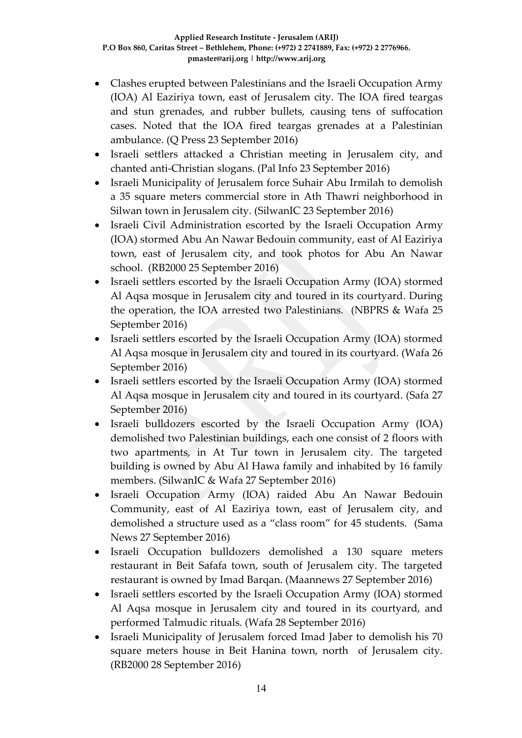- Clashes erupted between Palestinians and the Israeli Occupation Army (IOA) Al Eaziriya town, east of Jerusalem city. The IOA fired teargas and stun grenades, and rubber bullets, causing tens of suffocation cases. Noted that the IOA fired teargas grenades at a Palestinian ambulance. (Q Press 23 September 2016)
- Israeli settlers attacked a Christian meeting in Jerusalem city, and chanted anti-Christian slogans. (Pal Info 23 September 2016)
- Israeli Municipality of Jerusalem force Suhair Abu Irmilah to demolish a 35 square meters commercial store in Ath Thawri neighborhood in Silwan town in Jerusalem city. (SilwanIC 23 September 2016)
- Israeli Civil Administration escorted by the Israeli Occupation Army (IOA) stormed Abu An Nawar Bedouin community, east of Al Eaziriya town, east of Jerusalem city, and took photos for Abu An Nawar school. (RB2000 25 September 2016)
- Israeli settlers escorted by the Israeli Occupation Army (IOA) stormed Al Aqsa mosque in Jerusalem city and toured in its courtyard. During the operation, the IOA arrested two Palestinians. (NBPRS & Wafa 25 September 2016)
- Israeli settlers escorted by the Israeli Occupation Army (IOA) stormed Al Aqsa mosque in Jerusalem city and toured in its courtyard. (Wafa 26 September 2016)
- Israeli settlers escorted by the Israeli Occupation Army (IOA) stormed Al Aqsa mosque in Jerusalem city and toured in its courtyard. (Safa 27 September 2016)
- Israeli bulldozers escorted by the Israeli Occupation Army (IOA) demolished two Palestinian buildings, each one consist of 2 floors with two apartments, in At Tur town in Jerusalem city. The targeted building is owned by Abu Al Hawa family and inhabited by 16 family members. (SilwanIC & Wafa 27 September 2016)
- Israeli Occupation Army (IOA) raided Abu An Nawar Bedouin Community, east of Al Eaziriya town, east of Jerusalem city, and demolished a structure used as a "class room" for 45 students. (Sama News 27 September 2016)
- Israeli Occupation bulldozers demolished a 130 square meters restaurant in Beit Safafa town, south of Jerusalem city. The targeted restaurant is owned by Imad Barqan. (Maannews 27 September 2016)
- Israeli settlers escorted by the Israeli Occupation Army (IOA) stormed Al Aqsa mosque in Jerusalem city and toured in its courtyard, and performed Talmudic rituals. (Wafa 28 September 2016)
- Israeli Municipality of Jerusalem forced Imad Jaber to demolish his 70 square meters house in Beit Hanina town, north of Jerusalem city. (RB2000 28 September 2016)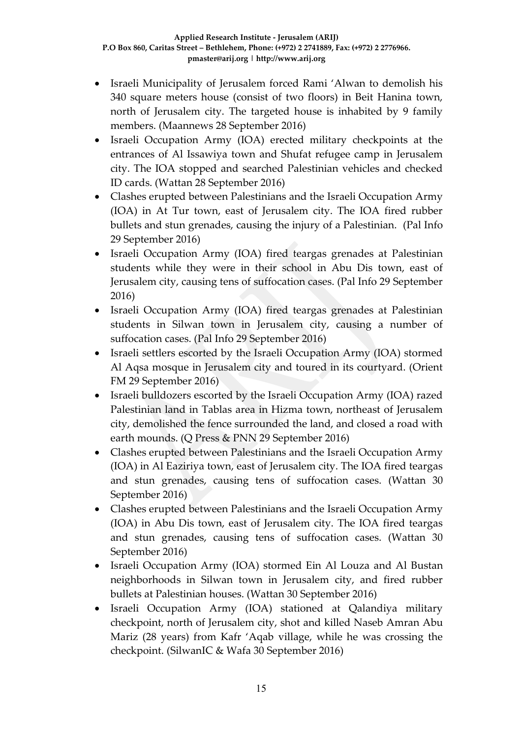- Israeli Municipality of Jerusalem forced Rami 'Alwan to demolish his 340 square meters house (consist of two floors) in Beit Hanina town, north of Jerusalem city. The targeted house is inhabited by 9 family members. (Maannews 28 September 2016)
- Israeli Occupation Army (IOA) erected military checkpoints at the entrances of Al Issawiya town and Shufat refugee camp in Jerusalem city. The IOA stopped and searched Palestinian vehicles and checked ID cards. (Wattan 28 September 2016)
- Clashes erupted between Palestinians and the Israeli Occupation Army (IOA) in At Tur town, east of Jerusalem city. The IOA fired rubber bullets and stun grenades, causing the injury of a Palestinian. (Pal Info 29 September 2016)
- Israeli Occupation Army (IOA) fired teargas grenades at Palestinian students while they were in their school in Abu Dis town, east of Jerusalem city, causing tens of suffocation cases. (Pal Info 29 September 2016)
- Israeli Occupation Army (IOA) fired teargas grenades at Palestinian students in Silwan town in Jerusalem city, causing a number of suffocation cases. (Pal Info 29 September 2016)
- Israeli settlers escorted by the Israeli Occupation Army (IOA) stormed Al Aqsa mosque in Jerusalem city and toured in its courtyard. (Orient FM 29 September 2016)
- Israeli bulldozers escorted by the Israeli Occupation Army (IOA) razed Palestinian land in Tablas area in Hizma town, northeast of Jerusalem city, demolished the fence surrounded the land, and closed a road with earth mounds. (Q Press & PNN 29 September 2016)
- Clashes erupted between Palestinians and the Israeli Occupation Army (IOA) in Al Eaziriya town, east of Jerusalem city. The IOA fired teargas and stun grenades, causing tens of suffocation cases. (Wattan 30 September 2016)
- Clashes erupted between Palestinians and the Israeli Occupation Army (IOA) in Abu Dis town, east of Jerusalem city. The IOA fired teargas and stun grenades, causing tens of suffocation cases. (Wattan 30 September 2016)
- Israeli Occupation Army (IOA) stormed Ein Al Louza and Al Bustan neighborhoods in Silwan town in Jerusalem city, and fired rubber bullets at Palestinian houses. (Wattan 30 September 2016)
- Israeli Occupation Army (IOA) stationed at Qalandiya military checkpoint, north of Jerusalem city, shot and killed Naseb Amran Abu Mariz (28 years) from Kafr 'Aqab village, while he was crossing the checkpoint. (SilwanIC & Wafa 30 September 2016)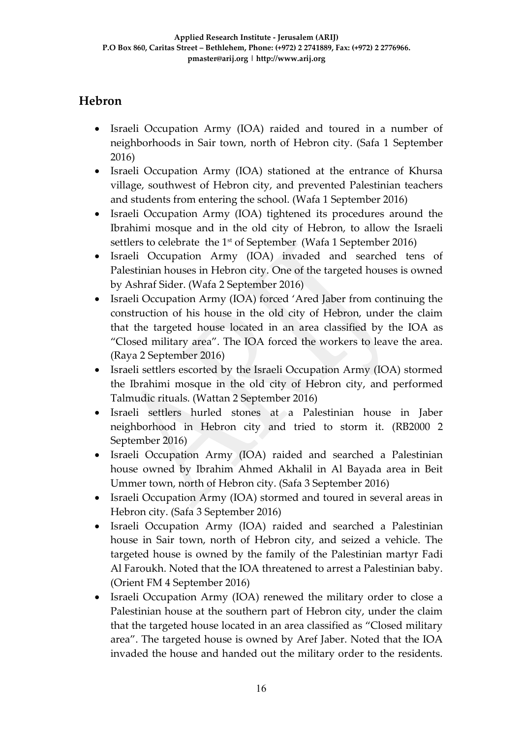## **Hebron**

- Israeli Occupation Army (IOA) raided and toured in a number of neighborhoods in Sair town, north of Hebron city. (Safa 1 September 2016)
- Israeli Occupation Army (IOA) stationed at the entrance of Khursa village, southwest of Hebron city, and prevented Palestinian teachers and students from entering the school. (Wafa 1 September 2016)
- Israeli Occupation Army (IOA) tightened its procedures around the Ibrahimi mosque and in the old city of Hebron, to allow the Israeli settlers to celebrate the  $1<sup>st</sup>$  of September (Wafa 1 September 2016)
- Israeli Occupation Army (IOA) invaded and searched tens of Palestinian houses in Hebron city. One of the targeted houses is owned by Ashraf Sider. (Wafa 2 September 2016)
- Israeli Occupation Army (IOA) forced 'Ared Jaber from continuing the construction of his house in the old city of Hebron, under the claim that the targeted house located in an area classified by the IOA as "Closed military area". The IOA forced the workers to leave the area. (Raya 2 September 2016)
- Israeli settlers escorted by the Israeli Occupation Army (IOA) stormed the Ibrahimi mosque in the old city of Hebron city, and performed Talmudic rituals. (Wattan 2 September 2016)
- Israeli settlers hurled stones at a Palestinian house in Jaber neighborhood in Hebron city and tried to storm it. (RB2000 2 September 2016)
- Israeli Occupation Army (IOA) raided and searched a Palestinian house owned by Ibrahim Ahmed Akhalil in Al Bayada area in Beit Ummer town, north of Hebron city. (Safa 3 September 2016)
- Israeli Occupation Army (IOA) stormed and toured in several areas in Hebron city. (Safa 3 September 2016)
- Israeli Occupation Army (IOA) raided and searched a Palestinian house in Sair town, north of Hebron city, and seized a vehicle. The targeted house is owned by the family of the Palestinian martyr Fadi Al Faroukh. Noted that the IOA threatened to arrest a Palestinian baby. (Orient FM 4 September 2016)
- Israeli Occupation Army (IOA) renewed the military order to close a Palestinian house at the southern part of Hebron city, under the claim that the targeted house located in an area classified as "Closed military area". The targeted house is owned by Aref Jaber. Noted that the IOA invaded the house and handed out the military order to the residents.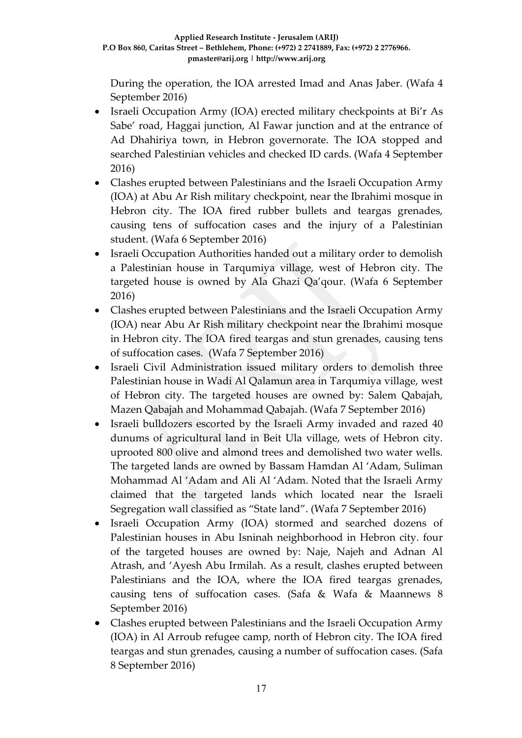During the operation, the IOA arrested Imad and Anas Jaber. (Wafa 4 September 2016)

- Israeli Occupation Army (IOA) erected military checkpoints at Bi'r As Sabe' road, Haggai junction, Al Fawar junction and at the entrance of Ad Dhahiriya town, in Hebron governorate. The IOA stopped and searched Palestinian vehicles and checked ID cards. (Wafa 4 September 2016)
- Clashes erupted between Palestinians and the Israeli Occupation Army (IOA) at Abu Ar Rish military checkpoint, near the Ibrahimi mosque in Hebron city. The IOA fired rubber bullets and teargas grenades, causing tens of suffocation cases and the injury of a Palestinian student. (Wafa 6 September 2016)
- Israeli Occupation Authorities handed out a military order to demolish a Palestinian house in Tarqumiya village, west of Hebron city. The targeted house is owned by Ala Ghazi Qa'qour. (Wafa 6 September 2016)
- Clashes erupted between Palestinians and the Israeli Occupation Army (IOA) near Abu Ar Rish military checkpoint near the Ibrahimi mosque in Hebron city. The IOA fired teargas and stun grenades, causing tens of suffocation cases. (Wafa 7 September 2016)
- Israeli Civil Administration issued military orders to demolish three Palestinian house in Wadi Al Qalamun area in Tarqumiya village, west of Hebron city. The targeted houses are owned by: Salem Qabajah, Mazen Qabajah and Mohammad Qabajah. (Wafa 7 September 2016)
- Israeli bulldozers escorted by the Israeli Army invaded and razed 40 dunums of agricultural land in Beit Ula village, wets of Hebron city. uprooted 800 olive and almond trees and demolished two water wells. The targeted lands are owned by Bassam Hamdan Al 'Adam, Suliman Mohammad Al 'Adam and Ali Al 'Adam. Noted that the Israeli Army claimed that the targeted lands which located near the Israeli Segregation wall classified as "State land". (Wafa 7 September 2016)
- Israeli Occupation Army (IOA) stormed and searched dozens of Palestinian houses in Abu Isninah neighborhood in Hebron city. four of the targeted houses are owned by: Naje, Najeh and Adnan Al Atrash, and 'Ayesh Abu Irmilah. As a result, clashes erupted between Palestinians and the IOA, where the IOA fired teargas grenades, causing tens of suffocation cases. (Safa & Wafa & Maannews 8 September 2016)
- Clashes erupted between Palestinians and the Israeli Occupation Army (IOA) in Al Arroub refugee camp, north of Hebron city. The IOA fired teargas and stun grenades, causing a number of suffocation cases. (Safa 8 September 2016)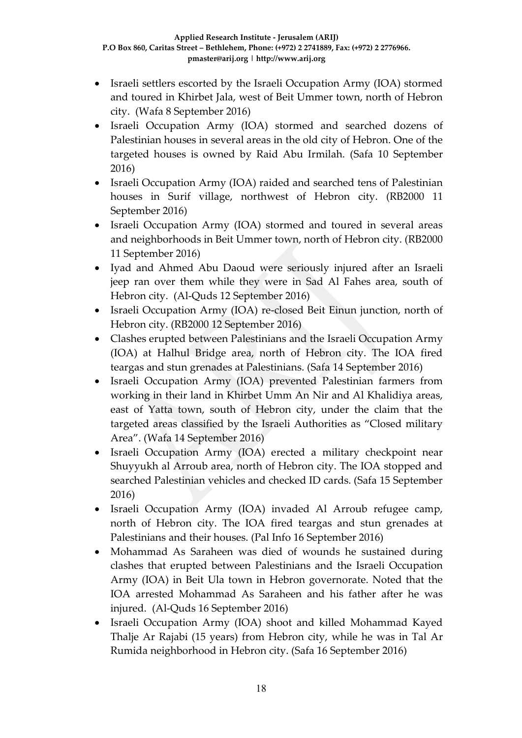- Israeli settlers escorted by the Israeli Occupation Army (IOA) stormed and toured in Khirbet Jala, west of Beit Ummer town, north of Hebron city. (Wafa 8 September 2016)
- Israeli Occupation Army (IOA) stormed and searched dozens of Palestinian houses in several areas in the old city of Hebron. One of the targeted houses is owned by Raid Abu Irmilah. (Safa 10 September 2016)
- Israeli Occupation Army (IOA) raided and searched tens of Palestinian houses in Surif village, northwest of Hebron city. (RB2000 11 September 2016)
- Israeli Occupation Army (IOA) stormed and toured in several areas and neighborhoods in Beit Ummer town, north of Hebron city. (RB2000 11 September 2016)
- Iyad and Ahmed Abu Daoud were seriously injured after an Israeli jeep ran over them while they were in Sad Al Fahes area, south of Hebron city. (Al-Quds 12 September 2016)
- Israeli Occupation Army (IOA) re-closed Beit Einun junction, north of Hebron city. (RB2000 12 September 2016)
- Clashes erupted between Palestinians and the Israeli Occupation Army (IOA) at Halhul Bridge area, north of Hebron city. The IOA fired teargas and stun grenades at Palestinians. (Safa 14 September 2016)
- Israeli Occupation Army (IOA) prevented Palestinian farmers from working in their land in Khirbet Umm An Nir and Al Khalidiya areas, east of Yatta town, south of Hebron city, under the claim that the targeted areas classified by the Israeli Authorities as "Closed military Area". (Wafa 14 September 2016)
- Israeli Occupation Army (IOA) erected a military checkpoint near Shuyyukh al Arroub area, north of Hebron city. The IOA stopped and searched Palestinian vehicles and checked ID cards. (Safa 15 September 2016)
- Israeli Occupation Army (IOA) invaded Al Arroub refugee camp, north of Hebron city. The IOA fired teargas and stun grenades at Palestinians and their houses. (Pal Info 16 September 2016)
- Mohammad As Saraheen was died of wounds he sustained during clashes that erupted between Palestinians and the Israeli Occupation Army (IOA) in Beit Ula town in Hebron governorate. Noted that the IOA arrested Mohammad As Saraheen and his father after he was injured. (Al-Quds 16 September 2016)
- Israeli Occupation Army (IOA) shoot and killed Mohammad Kayed Thalje Ar Rajabi (15 years) from Hebron city, while he was in Tal Ar Rumida neighborhood in Hebron city. (Safa 16 September 2016)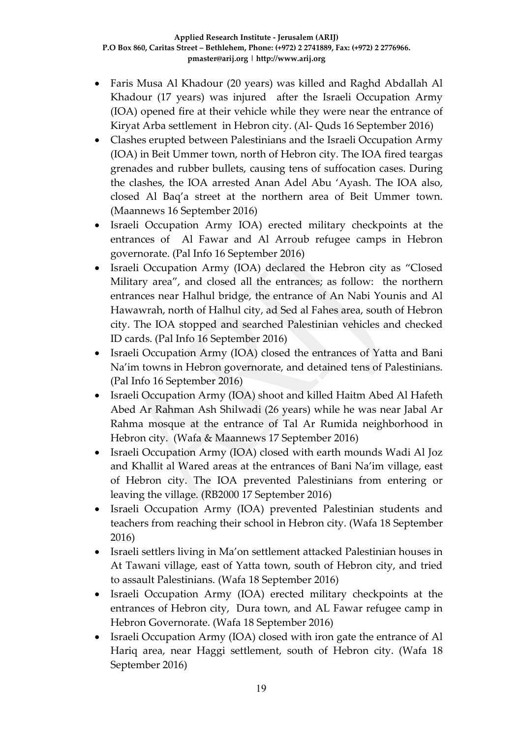- Faris Musa Al Khadour (20 years) was killed and Raghd Abdallah Al Khadour (17 years) was injured after the Israeli Occupation Army (IOA) opened fire at their vehicle while they were near the entrance of Kiryat Arba settlement in Hebron city. (Al- Quds 16 September 2016)
- Clashes erupted between Palestinians and the Israeli Occupation Army (IOA) in Beit Ummer town, north of Hebron city. The IOA fired teargas grenades and rubber bullets, causing tens of suffocation cases. During the clashes, the IOA arrested Anan Adel Abu 'Ayash. The IOA also, closed Al Baq'a street at the northern area of Beit Ummer town. (Maannews 16 September 2016)
- Israeli Occupation Army IOA) erected military checkpoints at the entrances of Al Fawar and Al Arroub refugee camps in Hebron governorate. (Pal Info 16 September 2016)
- Israeli Occupation Army (IOA) declared the Hebron city as "Closed Military area", and closed all the entrances; as follow: the northern entrances near Halhul bridge, the entrance of An Nabi Younis and Al Hawawrah, north of Halhul city, ad Sed al Fahes area, south of Hebron city. The IOA stopped and searched Palestinian vehicles and checked ID cards. (Pal Info 16 September 2016)
- Israeli Occupation Army (IOA) closed the entrances of Yatta and Bani Na'im towns in Hebron governorate, and detained tens of Palestinians. (Pal Info 16 September 2016)
- Israeli Occupation Army (IOA) shoot and killed Haitm Abed Al Hafeth Abed Ar Rahman Ash Shilwadi (26 years) while he was near Jabal Ar Rahma mosque at the entrance of Tal Ar Rumida neighborhood in Hebron city. (Wafa & Maannews 17 September 2016)
- Israeli Occupation Army (IOA) closed with earth mounds Wadi Al Joz and Khallit al Wared areas at the entrances of Bani Na'im village, east of Hebron city. The IOA prevented Palestinians from entering or leaving the village. (RB2000 17 September 2016)
- Israeli Occupation Army (IOA) prevented Palestinian students and teachers from reaching their school in Hebron city. (Wafa 18 September 2016)
- Israeli settlers living in Ma'on settlement attacked Palestinian houses in At Tawani village, east of Yatta town, south of Hebron city, and tried to assault Palestinians. (Wafa 18 September 2016)
- Israeli Occupation Army (IOA) erected military checkpoints at the entrances of Hebron city, Dura town, and AL Fawar refugee camp in Hebron Governorate. (Wafa 18 September 2016)
- Israeli Occupation Army (IOA) closed with iron gate the entrance of Al Hariq area, near Haggi settlement, south of Hebron city. (Wafa 18 September 2016)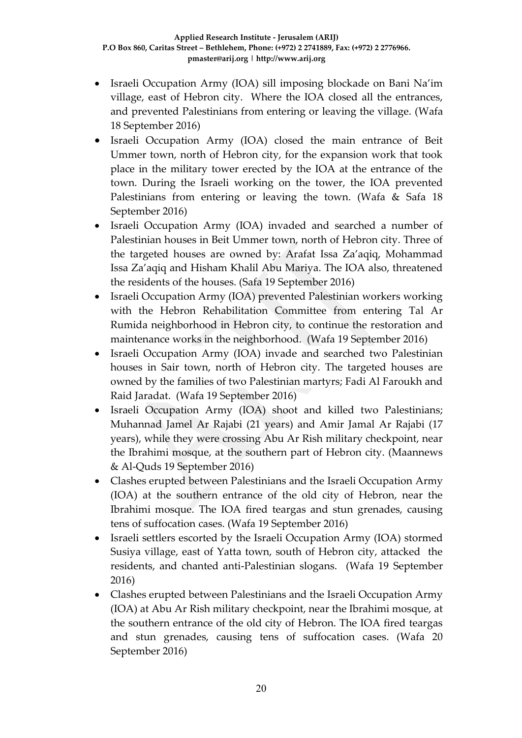- Israeli Occupation Army (IOA) sill imposing blockade on Bani Na'im village, east of Hebron city. Where the IOA closed all the entrances, and prevented Palestinians from entering or leaving the village. (Wafa 18 September 2016)
- Israeli Occupation Army (IOA) closed the main entrance of Beit Ummer town, north of Hebron city, for the expansion work that took place in the military tower erected by the IOA at the entrance of the town. During the Israeli working on the tower, the IOA prevented Palestinians from entering or leaving the town. (Wafa & Safa 18 September 2016)
- Israeli Occupation Army (IOA) invaded and searched a number of Palestinian houses in Beit Ummer town, north of Hebron city. Three of the targeted houses are owned by: Arafat Issa Za'aqiq, Mohammad Issa Za'aqiq and Hisham Khalil Abu Mariya. The IOA also, threatened the residents of the houses. (Safa 19 September 2016)
- Israeli Occupation Army (IOA) prevented Palestinian workers working with the Hebron Rehabilitation Committee from entering Tal Ar Rumida neighborhood in Hebron city, to continue the restoration and maintenance works in the neighborhood. (Wafa 19 September 2016)
- Israeli Occupation Army (IOA) invade and searched two Palestinian houses in Sair town, north of Hebron city. The targeted houses are owned by the families of two Palestinian martyrs; Fadi Al Faroukh and Raid Jaradat. (Wafa 19 September 2016)
- Israeli Occupation Army (IOA) shoot and killed two Palestinians; Muhannad Jamel Ar Rajabi (21 years) and Amir Jamal Ar Rajabi (17 years), while they were crossing Abu Ar Rish military checkpoint, near the Ibrahimi mosque, at the southern part of Hebron city. (Maannews & Al-Quds 19 September 2016)
- Clashes erupted between Palestinians and the Israeli Occupation Army (IOA) at the southern entrance of the old city of Hebron, near the Ibrahimi mosque. The IOA fired teargas and stun grenades, causing tens of suffocation cases. (Wafa 19 September 2016)
- Israeli settlers escorted by the Israeli Occupation Army (IOA) stormed Susiya village, east of Yatta town, south of Hebron city, attacked the residents, and chanted anti-Palestinian slogans. (Wafa 19 September 2016)
- Clashes erupted between Palestinians and the Israeli Occupation Army (IOA) at Abu Ar Rish military checkpoint, near the Ibrahimi mosque, at the southern entrance of the old city of Hebron. The IOA fired teargas and stun grenades, causing tens of suffocation cases. (Wafa 20 September 2016)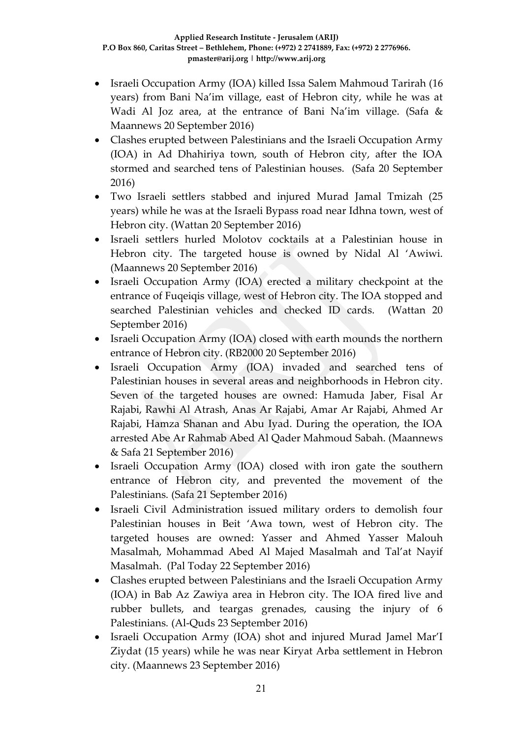- Israeli Occupation Army (IOA) killed Issa Salem Mahmoud Tarirah (16 years) from Bani Na'im village, east of Hebron city, while he was at Wadi Al Joz area, at the entrance of Bani Na'im village. (Safa & Maannews 20 September 2016)
- Clashes erupted between Palestinians and the Israeli Occupation Army (IOA) in Ad Dhahiriya town, south of Hebron city, after the IOA stormed and searched tens of Palestinian houses. (Safa 20 September 2016)
- Two Israeli settlers stabbed and injured Murad Jamal Tmizah (25 years) while he was at the Israeli Bypass road near Idhna town, west of Hebron city. (Wattan 20 September 2016)
- Israeli settlers hurled Molotov cocktails at a Palestinian house in Hebron city. The targeted house is owned by Nidal Al 'Awiwi. (Maannews 20 September 2016)
- Israeli Occupation Army (IOA) erected a military checkpoint at the entrance of Fuqeiqis village, west of Hebron city. The IOA stopped and searched Palestinian vehicles and checked ID cards. (Wattan 20 September 2016)
- Israeli Occupation Army (IOA) closed with earth mounds the northern entrance of Hebron city. (RB2000 20 September 2016)
- Israeli Occupation Army (IOA) invaded and searched tens of Palestinian houses in several areas and neighborhoods in Hebron city. Seven of the targeted houses are owned: Hamuda Jaber, Fisal Ar Rajabi, Rawhi Al Atrash, Anas Ar Rajabi, Amar Ar Rajabi, Ahmed Ar Rajabi, Hamza Shanan and Abu Iyad. During the operation, the IOA arrested Abe Ar Rahmab Abed Al Qader Mahmoud Sabah. (Maannews & Safa 21 September 2016)
- Israeli Occupation Army (IOA) closed with iron gate the southern entrance of Hebron city, and prevented the movement of the Palestinians. (Safa 21 September 2016)
- Israeli Civil Administration issued military orders to demolish four Palestinian houses in Beit 'Awa town, west of Hebron city. The targeted houses are owned: Yasser and Ahmed Yasser Malouh Masalmah, Mohammad Abed Al Majed Masalmah and Tal'at Nayif Masalmah. (Pal Today 22 September 2016)
- Clashes erupted between Palestinians and the Israeli Occupation Army (IOA) in Bab Az Zawiya area in Hebron city. The IOA fired live and rubber bullets, and teargas grenades, causing the injury of 6 Palestinians. (Al-Quds 23 September 2016)
- Israeli Occupation Army (IOA) shot and injured Murad Jamel Mar'I Ziydat (15 years) while he was near Kiryat Arba settlement in Hebron city. (Maannews 23 September 2016)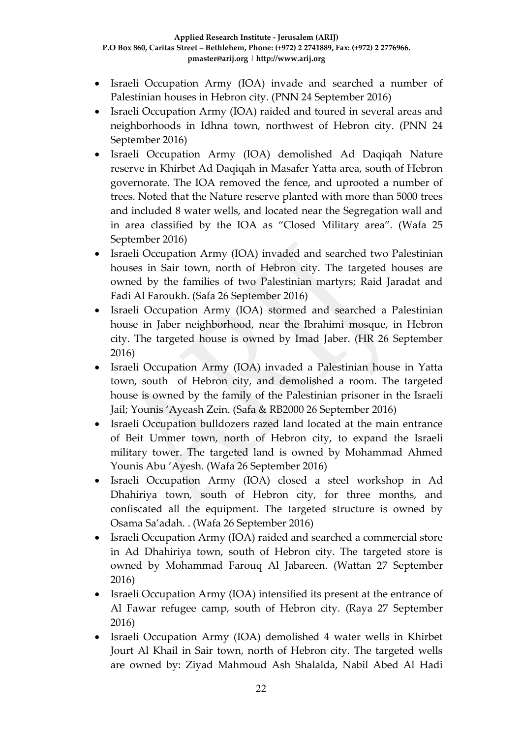- Israeli Occupation Army (IOA) invade and searched a number of Palestinian houses in Hebron city. (PNN 24 September 2016)
- Israeli Occupation Army (IOA) raided and toured in several areas and neighborhoods in Idhna town, northwest of Hebron city. (PNN 24 September 2016)
- Israeli Occupation Army (IOA) demolished Ad Daqiqah Nature reserve in Khirbet Ad Daqiqah in Masafer Yatta area, south of Hebron governorate. The IOA removed the fence, and uprooted a number of trees. Noted that the Nature reserve planted with more than 5000 trees and included 8 water wells, and located near the Segregation wall and in area classified by the IOA as "Closed Military area". (Wafa 25 September 2016)
- Israeli Occupation Army (IOA) invaded and searched two Palestinian houses in Sair town, north of Hebron city. The targeted houses are owned by the families of two Palestinian martyrs; Raid Jaradat and Fadi Al Faroukh. (Safa 26 September 2016)
- Israeli Occupation Army (IOA) stormed and searched a Palestinian house in Jaber neighborhood, near the Ibrahimi mosque, in Hebron city. The targeted house is owned by Imad Jaber. (HR 26 September 2016)
- Israeli Occupation Army (IOA) invaded a Palestinian house in Yatta town, south of Hebron city, and demolished a room. The targeted house is owned by the family of the Palestinian prisoner in the Israeli Jail; Younis 'Ayeash Zein. (Safa & RB2000 26 September 2016)
- Israeli Occupation bulldozers razed land located at the main entrance of Beit Ummer town, north of Hebron city, to expand the Israeli military tower. The targeted land is owned by Mohammad Ahmed Younis Abu 'Ayesh. (Wafa 26 September 2016)
- Israeli Occupation Army (IOA) closed a steel workshop in Ad Dhahiriya town, south of Hebron city, for three months, and confiscated all the equipment. The targeted structure is owned by Osama Sa'adah. . (Wafa 26 September 2016)
- Israeli Occupation Army (IOA) raided and searched a commercial store in Ad Dhahiriya town, south of Hebron city. The targeted store is owned by Mohammad Farouq Al Jabareen. (Wattan 27 September 2016)
- Israeli Occupation Army (IOA) intensified its present at the entrance of Al Fawar refugee camp, south of Hebron city. (Raya 27 September 2016)
- Israeli Occupation Army (IOA) demolished 4 water wells in Khirbet Jourt Al Khail in Sair town, north of Hebron city. The targeted wells are owned by: Ziyad Mahmoud Ash Shalalda, Nabil Abed Al Hadi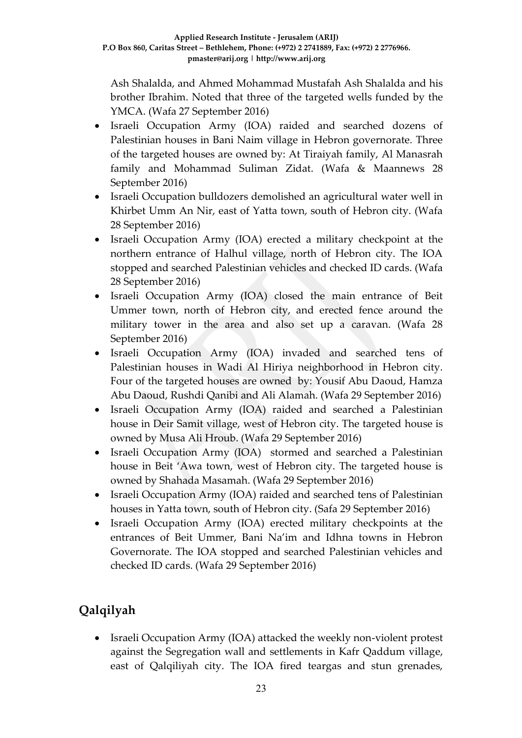Ash Shalalda, and Ahmed Mohammad Mustafah Ash Shalalda and his brother Ibrahim. Noted that three of the targeted wells funded by the YMCA. (Wafa 27 September 2016)

- Israeli Occupation Army (IOA) raided and searched dozens of Palestinian houses in Bani Naim village in Hebron governorate. Three of the targeted houses are owned by: At Tiraiyah family, Al Manasrah family and Mohammad Suliman Zidat. (Wafa & Maannews 28 September 2016)
- Israeli Occupation bulldozers demolished an agricultural water well in Khirbet Umm An Nir, east of Yatta town, south of Hebron city. (Wafa 28 September 2016)
- Israeli Occupation Army (IOA) erected a military checkpoint at the northern entrance of Halhul village, north of Hebron city. The IOA stopped and searched Palestinian vehicles and checked ID cards. (Wafa 28 September 2016)
- Israeli Occupation Army (IOA) closed the main entrance of Beit Ummer town, north of Hebron city, and erected fence around the military tower in the area and also set up a caravan. (Wafa 28 September 2016)
- Israeli Occupation Army (IOA) invaded and searched tens of Palestinian houses in Wadi Al Hiriya neighborhood in Hebron city. Four of the targeted houses are owned by: Yousif Abu Daoud, Hamza Abu Daoud, Rushdi Qanibi and Ali Alamah. (Wafa 29 September 2016)
- Israeli Occupation Army (IOA) raided and searched a Palestinian house in Deir Samit village, west of Hebron city. The targeted house is owned by Musa Ali Hroub. (Wafa 29 September 2016)
- Israeli Occupation Army (IOA) stormed and searched a Palestinian house in Beit 'Awa town, west of Hebron city. The targeted house is owned by Shahada Masamah. (Wafa 29 September 2016)
- Israeli Occupation Army (IOA) raided and searched tens of Palestinian houses in Yatta town, south of Hebron city. (Safa 29 September 2016)
- Israeli Occupation Army (IOA) erected military checkpoints at the entrances of Beit Ummer, Bani Na'im and Idhna towns in Hebron Governorate. The IOA stopped and searched Palestinian vehicles and checked ID cards. (Wafa 29 September 2016)

# **Qalqilyah**

• Israeli Occupation Army (IOA) attacked the weekly non-violent protest against the Segregation wall and settlements in Kafr Qaddum village, east of Qalqiliyah city. The IOA fired teargas and stun grenades,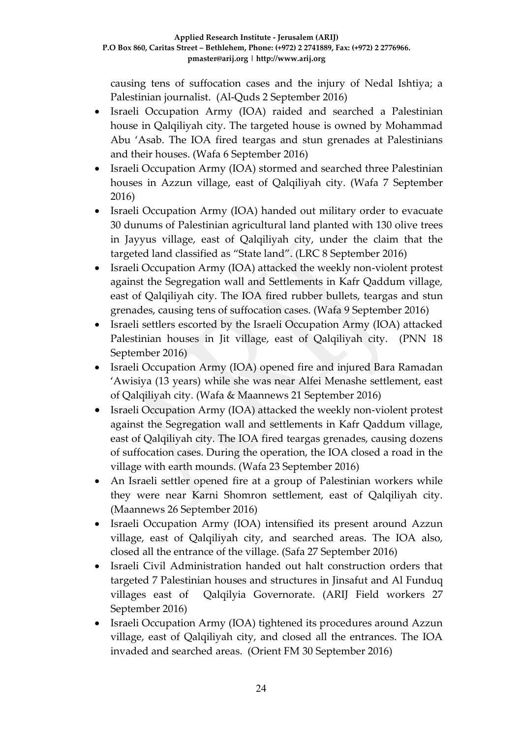causing tens of suffocation cases and the injury of Nedal Ishtiya; a Palestinian journalist. (Al-Quds 2 September 2016)

- Israeli Occupation Army (IOA) raided and searched a Palestinian house in Qalqiliyah city. The targeted house is owned by Mohammad Abu 'Asab. The IOA fired teargas and stun grenades at Palestinians and their houses. (Wafa 6 September 2016)
- Israeli Occupation Army (IOA) stormed and searched three Palestinian houses in Azzun village, east of Qalqiliyah city. (Wafa 7 September 2016)
- Israeli Occupation Army (IOA) handed out military order to evacuate 30 dunums of Palestinian agricultural land planted with 130 olive trees in Jayyus village, east of Qalqiliyah city, under the claim that the targeted land classified as "State land". (LRC 8 September 2016)
- Israeli Occupation Army (IOA) attacked the weekly non-violent protest against the Segregation wall and Settlements in Kafr Qaddum village, east of Qalqiliyah city. The IOA fired rubber bullets, teargas and stun grenades, causing tens of suffocation cases. (Wafa 9 September 2016)
- Israeli settlers escorted by the Israeli Occupation Army (IOA) attacked Palestinian houses in Jit village, east of Qalqiliyah city. (PNN 18 September 2016)
- Israeli Occupation Army (IOA) opened fire and injured Bara Ramadan 'Awisiya (13 years) while she was near Alfei Menashe settlement, east of Qalqiliyah city. (Wafa & Maannews 21 September 2016)
- Israeli Occupation Army (IOA) attacked the weekly non-violent protest against the Segregation wall and settlements in Kafr Qaddum village, east of Qalqiliyah city. The IOA fired teargas grenades, causing dozens of suffocation cases. During the operation, the IOA closed a road in the village with earth mounds. (Wafa 23 September 2016)
- An Israeli settler opened fire at a group of Palestinian workers while they were near Karni Shomron settlement, east of Qalqiliyah city. (Maannews 26 September 2016)
- Israeli Occupation Army (IOA) intensified its present around Azzun village, east of Qalqiliyah city, and searched areas. The IOA also, closed all the entrance of the village. (Safa 27 September 2016)
- Israeli Civil Administration handed out halt construction orders that targeted 7 Palestinian houses and structures in Jinsafut and Al Funduq villages east of Qalqilyia Governorate. (ARIJ Field workers 27 September 2016)
- Israeli Occupation Army (IOA) tightened its procedures around Azzun village, east of Qalqiliyah city, and closed all the entrances. The IOA invaded and searched areas. (Orient FM 30 September 2016)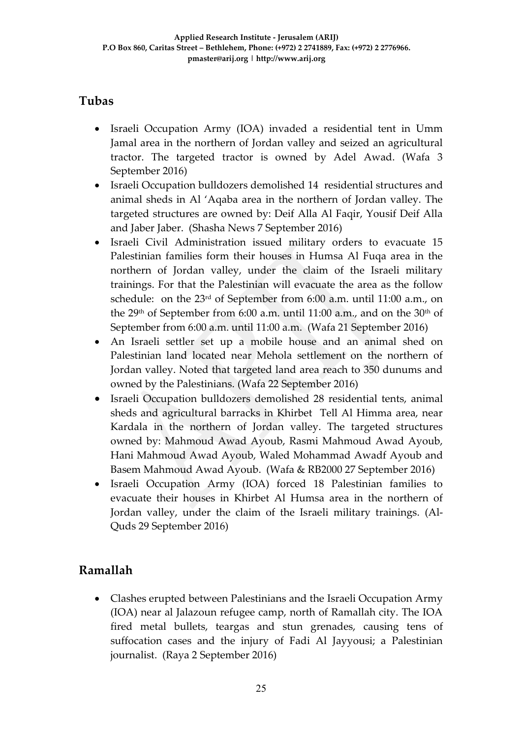## **Tubas**

- Israeli Occupation Army (IOA) invaded a residential tent in Umm Jamal area in the northern of Jordan valley and seized an agricultural tractor. The targeted tractor is owned by Adel Awad. (Wafa 3 September 2016)
- Israeli Occupation bulldozers demolished 14 residential structures and animal sheds in Al 'Aqaba area in the northern of Jordan valley. The targeted structures are owned by: Deif Alla Al Faqir, Yousif Deif Alla and Jaber Jaber. (Shasha News 7 September 2016)
- Israeli Civil Administration issued military orders to evacuate 15 Palestinian families form their houses in Humsa Al Fuqa area in the northern of Jordan valley, under the claim of the Israeli military trainings. For that the Palestinian will evacuate the area as the follow schedule: on the 23rd of September from 6:00 a.m. until 11:00 a.m., on the 29<sup>th</sup> of September from 6:00 a.m. until 11:00 a.m., and on the 30<sup>th</sup> of September from 6:00 a.m. until 11:00 a.m. (Wafa 21 September 2016)
- An Israeli settler set up a mobile house and an animal shed on Palestinian land located near Mehola settlement on the northern of Jordan valley. Noted that targeted land area reach to 350 dunums and owned by the Palestinians. (Wafa 22 September 2016)
- Israeli Occupation bulldozers demolished 28 residential tents, animal sheds and agricultural barracks in Khirbet Tell Al Himma area, near Kardala in the northern of Jordan valley. The targeted structures owned by: Mahmoud Awad Ayoub, Rasmi Mahmoud Awad Ayoub, Hani Mahmoud Awad Ayoub, Waled Mohammad Awadf Ayoub and Basem Mahmoud Awad Ayoub. (Wafa & RB2000 27 September 2016)
- Israeli Occupation Army (IOA) forced 18 Palestinian families to evacuate their houses in Khirbet Al Humsa area in the northern of Jordan valley, under the claim of the Israeli military trainings. (Al-Quds 29 September 2016)

## **Ramallah**

 Clashes erupted between Palestinians and the Israeli Occupation Army (IOA) near al Jalazoun refugee camp, north of Ramallah city. The IOA fired metal bullets, teargas and stun grenades, causing tens of suffocation cases and the injury of Fadi Al Jayyousi; a Palestinian journalist. (Raya 2 September 2016)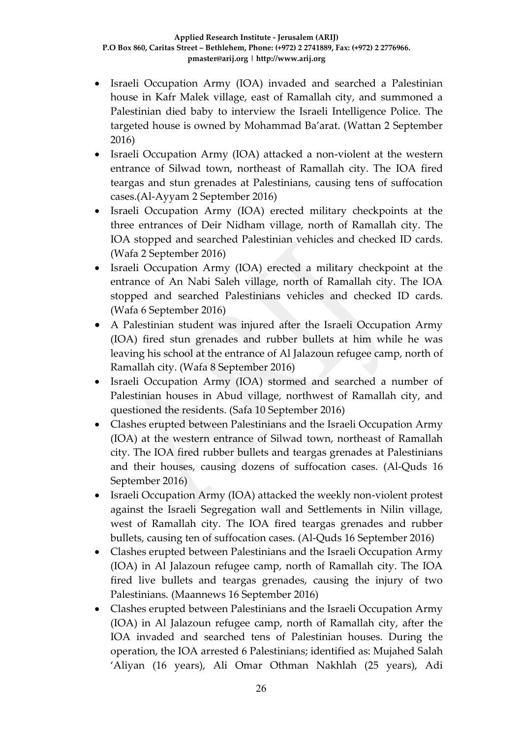- Israeli Occupation Army (IOA) invaded and searched a Palestinian house in Kafr Malek village, east of Ramallah city, and summoned a Palestinian died baby to interview the Israeli Intelligence Police. The targeted house is owned by Mohammad Ba'arat. (Wattan 2 September 2016)
- Israeli Occupation Army (IOA) attacked a non-violent at the western entrance of Silwad town, northeast of Ramallah city. The IOA fired teargas and stun grenades at Palestinians, causing tens of suffocation cases.(Al-Ayyam 2 September 2016)
- Israeli Occupation Army (IOA) erected military checkpoints at the three entrances of Deir Nidham village, north of Ramallah city. The IOA stopped and searched Palestinian vehicles and checked ID cards. (Wafa 2 September 2016)
- Israeli Occupation Army (IOA) erected a military checkpoint at the entrance of An Nabi Saleh village, north of Ramallah city. The IOA stopped and searched Palestinians vehicles and checked ID cards. (Wafa 6 September 2016)
- A Palestinian student was injured after the Israeli Occupation Army (IOA) fired stun grenades and rubber bullets at him while he was leaving his school at the entrance of Al Jalazoun refugee camp, north of Ramallah city. (Wafa 8 September 2016)
- Israeli Occupation Army (IOA) stormed and searched a number of Palestinian houses in Abud village, northwest of Ramallah city, and questioned the residents. (Safa 10 September 2016)
- Clashes erupted between Palestinians and the Israeli Occupation Army (IOA) at the western entrance of Silwad town, northeast of Ramallah city. The IOA fired rubber bullets and teargas grenades at Palestinians and their houses, causing dozens of suffocation cases. (Al-Quds 16 September 2016)
- Israeli Occupation Army (IOA) attacked the weekly non-violent protest against the Israeli Segregation wall and Settlements in Nilin village, west of Ramallah city. The IOA fired teargas grenades and rubber bullets, causing ten of suffocation cases. (Al-Quds 16 September 2016)
- Clashes erupted between Palestinians and the Israeli Occupation Army (IOA) in Al Jalazoun refugee camp, north of Ramallah city. The IOA fired live bullets and teargas grenades, causing the injury of two Palestinians. (Maannews 16 September 2016)
- Clashes erupted between Palestinians and the Israeli Occupation Army (IOA) in Al Jalazoun refugee camp, north of Ramallah city, after the IOA invaded and searched tens of Palestinian houses. During the operation, the IOA arrested 6 Palestinians; identified as: Mujahed Salah 'Aliyan (16 years), Ali Omar Othman Nakhlah (25 years), Adi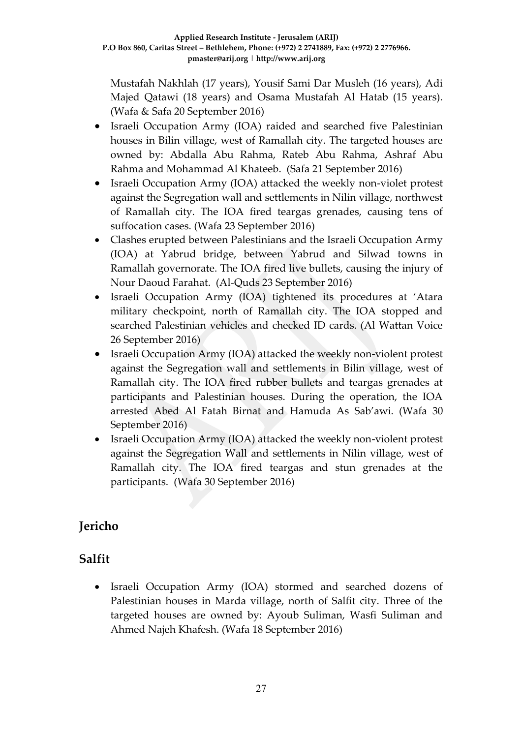Mustafah Nakhlah (17 years), Yousif Sami Dar Musleh (16 years), Adi Majed Qatawi (18 years) and Osama Mustafah Al Hatab (15 years). (Wafa & Safa 20 September 2016)

- Israeli Occupation Army (IOA) raided and searched five Palestinian houses in Bilin village, west of Ramallah city. The targeted houses are owned by: Abdalla Abu Rahma, Rateb Abu Rahma, Ashraf Abu Rahma and Mohammad Al Khateeb. (Safa 21 September 2016)
- Israeli Occupation Army (IOA) attacked the weekly non-violet protest against the Segregation wall and settlements in Nilin village, northwest of Ramallah city. The IOA fired teargas grenades, causing tens of suffocation cases. (Wafa 23 September 2016)
- Clashes erupted between Palestinians and the Israeli Occupation Army (IOA) at Yabrud bridge, between Yabrud and Silwad towns in Ramallah governorate. The IOA fired live bullets, causing the injury of Nour Daoud Farahat. (Al-Quds 23 September 2016)
- Israeli Occupation Army (IOA) tightened its procedures at 'Atara military checkpoint, north of Ramallah city. The IOA stopped and searched Palestinian vehicles and checked ID cards. (Al Wattan Voice 26 September 2016)
- Israeli Occupation Army (IOA) attacked the weekly non-violent protest against the Segregation wall and settlements in Bilin village, west of Ramallah city. The IOA fired rubber bullets and teargas grenades at participants and Palestinian houses. During the operation, the IOA arrested Abed Al Fatah Birnat and Hamuda As Sab'awi. (Wafa 30 September 2016)
- Israeli Occupation Army (IOA) attacked the weekly non-violent protest against the Segregation Wall and settlements in Nilin village, west of Ramallah city. The IOA fired teargas and stun grenades at the participants. (Wafa 30 September 2016)

## **Jericho**

## **Salfit**

 Israeli Occupation Army (IOA) stormed and searched dozens of Palestinian houses in Marda village, north of Salfit city. Three of the targeted houses are owned by: Ayoub Suliman, Wasfi Suliman and Ahmed Najeh Khafesh. (Wafa 18 September 2016)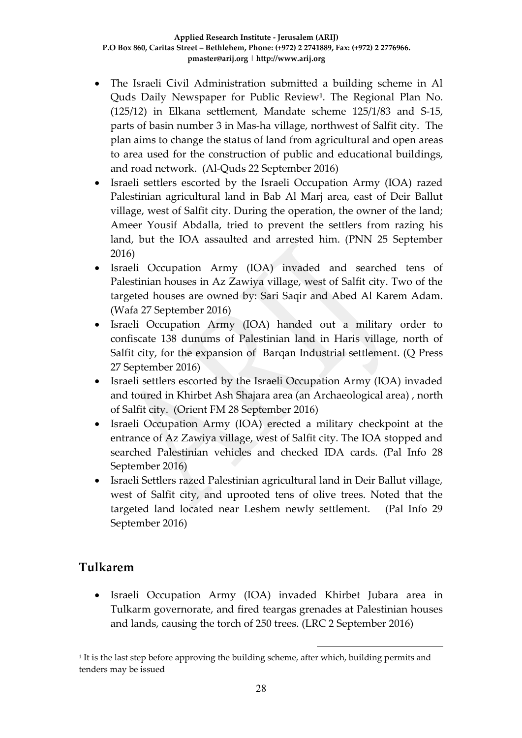- The Israeli Civil Administration submitted a building scheme in Al Quds Daily Newspaper for Public Review**<sup>1</sup>** . The Regional Plan No. (125/12) in Elkana settlement, Mandate scheme 125/1/83 and S-15, parts of basin number 3 in Mas-ha village, northwest of Salfit city. The plan aims to change the status of land from agricultural and open areas to area used for the construction of public and educational buildings, and road network. (Al-Quds 22 September 2016)
- Israeli settlers escorted by the Israeli Occupation Army (IOA) razed Palestinian agricultural land in Bab Al Marj area, east of Deir Ballut village, west of Salfit city. During the operation, the owner of the land; Ameer Yousif Abdalla, tried to prevent the settlers from razing his land, but the IOA assaulted and arrested him. (PNN 25 September 2016)
- Israeli Occupation Army (IOA) invaded and searched tens of Palestinian houses in Az Zawiya village, west of Salfit city. Two of the targeted houses are owned by: Sari Saqir and Abed Al Karem Adam. (Wafa 27 September 2016)
- Israeli Occupation Army (IOA) handed out a military order to confiscate 138 dunums of Palestinian land in Haris village, north of Salfit city, for the expansion of Barqan Industrial settlement. (Q Press 27 September 2016)
- Israeli settlers escorted by the Israeli Occupation Army (IOA) invaded and toured in Khirbet Ash Shajara area (an Archaeological area) , north of Salfit city. (Orient FM 28 September 2016)
- Israeli Occupation Army (IOA) erected a military checkpoint at the entrance of Az Zawiya village, west of Salfit city. The IOA stopped and searched Palestinian vehicles and checked IDA cards. (Pal Info 28 September 2016)
- Israeli Settlers razed Palestinian agricultural land in Deir Ballut village, west of Salfit city, and uprooted tens of olive trees. Noted that the targeted land located near Leshem newly settlement. (Pal Info 29 September 2016)

### **Tulkarem**

 Israeli Occupation Army (IOA) invaded Khirbet Jubara area in Tulkarm governorate, and fired teargas grenades at Palestinian houses and lands, causing the torch of 250 trees. (LRC 2 September 2016)

1

1 It is the last step before approving the building scheme, after which, building permits and tenders may be issued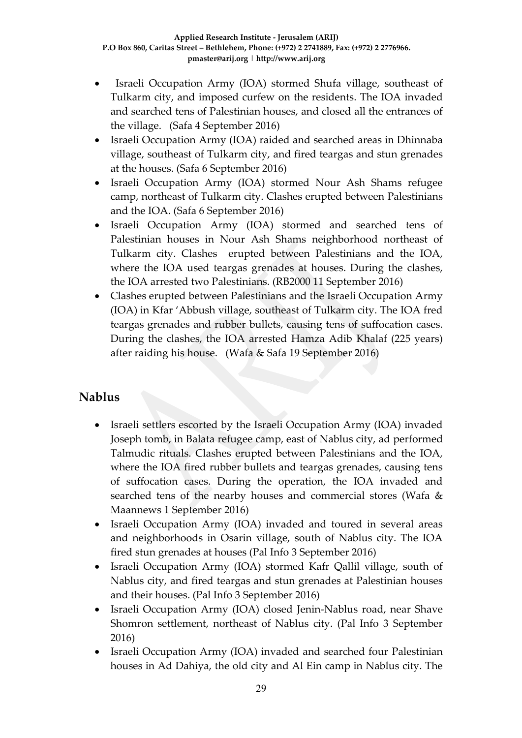- Israeli Occupation Army (IOA) stormed Shufa village, southeast of Tulkarm city, and imposed curfew on the residents. The IOA invaded and searched tens of Palestinian houses, and closed all the entrances of the village. (Safa 4 September 2016)
- Israeli Occupation Army (IOA) raided and searched areas in Dhinnaba village, southeast of Tulkarm city, and fired teargas and stun grenades at the houses. (Safa 6 September 2016)
- Israeli Occupation Army (IOA) stormed Nour Ash Shams refugee camp, northeast of Tulkarm city. Clashes erupted between Palestinians and the IOA. (Safa 6 September 2016)
- Israeli Occupation Army (IOA) stormed and searched tens of Palestinian houses in Nour Ash Shams neighborhood northeast of Tulkarm city. Clashes erupted between Palestinians and the IOA, where the IOA used teargas grenades at houses. During the clashes, the IOA arrested two Palestinians. (RB2000 11 September 2016)
- Clashes erupted between Palestinians and the Israeli Occupation Army (IOA) in Kfar 'Abbush village, southeast of Tulkarm city. The IOA fred teargas grenades and rubber bullets, causing tens of suffocation cases. During the clashes, the IOA arrested Hamza Adib Khalaf (225 years) after raiding his house. (Wafa & Safa 19 September 2016)

### **Nablus**

- Israeli settlers escorted by the Israeli Occupation Army (IOA) invaded Joseph tomb, in Balata refugee camp, east of Nablus city, ad performed Talmudic rituals. Clashes erupted between Palestinians and the IOA, where the IOA fired rubber bullets and teargas grenades, causing tens of suffocation cases. During the operation, the IOA invaded and searched tens of the nearby houses and commercial stores (Wafa & Maannews 1 September 2016)
- Israeli Occupation Army (IOA) invaded and toured in several areas and neighborhoods in Osarin village, south of Nablus city. The IOA fired stun grenades at houses (Pal Info 3 September 2016)
- Israeli Occupation Army (IOA) stormed Kafr Qallil village, south of Nablus city, and fired teargas and stun grenades at Palestinian houses and their houses. (Pal Info 3 September 2016)
- Israeli Occupation Army (IOA) closed Jenin-Nablus road, near Shave Shomron settlement, northeast of Nablus city. (Pal Info 3 September 2016)
- Israeli Occupation Army (IOA) invaded and searched four Palestinian houses in Ad Dahiya, the old city and Al Ein camp in Nablus city. The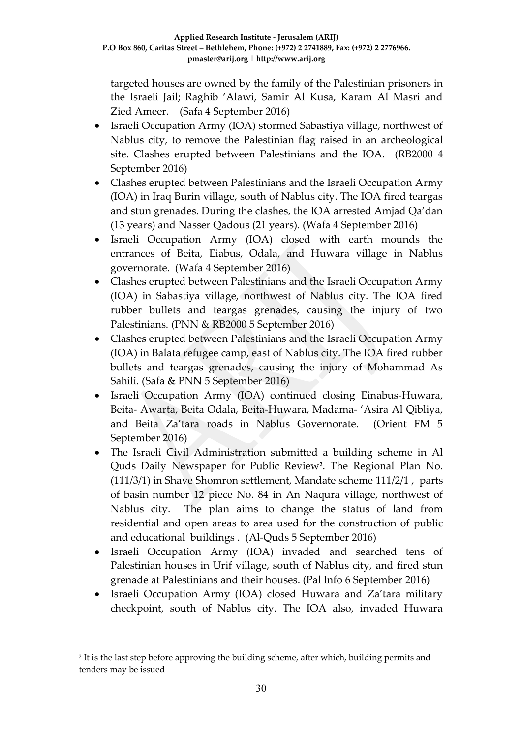targeted houses are owned by the family of the Palestinian prisoners in the Israeli Jail; Raghib 'Alawi, Samir Al Kusa, Karam Al Masri and Zied Ameer. (Safa 4 September 2016)

- Israeli Occupation Army (IOA) stormed Sabastiya village, northwest of Nablus city, to remove the Palestinian flag raised in an archeological site. Clashes erupted between Palestinians and the IOA. (RB2000 4 September 2016)
- Clashes erupted between Palestinians and the Israeli Occupation Army (IOA) in Iraq Burin village, south of Nablus city. The IOA fired teargas and stun grenades. During the clashes, the IOA arrested Amjad Qa'dan (13 years) and Nasser Qadous (21 years). (Wafa 4 September 2016)
- Israeli Occupation Army (IOA) closed with earth mounds the entrances of Beita, Eiabus, Odala, and Huwara village in Nablus governorate. (Wafa 4 September 2016)
- Clashes erupted between Palestinians and the Israeli Occupation Army (IOA) in Sabastiya village, northwest of Nablus city. The IOA fired rubber bullets and teargas grenades, causing the injury of two Palestinians. (PNN & RB2000 5 September 2016)
- Clashes erupted between Palestinians and the Israeli Occupation Army (IOA) in Balata refugee camp, east of Nablus city. The IOA fired rubber bullets and teargas grenades, causing the injury of Mohammad As Sahili. (Safa & PNN 5 September 2016)
- Israeli Occupation Army (IOA) continued closing Einabus-Huwara, Beita- Awarta, Beita Odala, Beita-Huwara, Madama- 'Asira Al Qibliya, and Beita Za'tara roads in Nablus Governorate. (Orient FM 5 September 2016)
- The Israeli Civil Administration submitted a building scheme in Al Quds Daily Newspaper for Public Review**<sup>2</sup>** . The Regional Plan No. (111/3/1) in Shave Shomron settlement, Mandate scheme 111/2/1 , parts of basin number 12 piece No. 84 in An Naqura village, northwest of Nablus city. The plan aims to change the status of land from residential and open areas to area used for the construction of public and educational buildings . (Al-Quds 5 September 2016)
- Israeli Occupation Army (IOA) invaded and searched tens of Palestinian houses in Urif village, south of Nablus city, and fired stun grenade at Palestinians and their houses. (Pal Info 6 September 2016)
- Israeli Occupation Army (IOA) closed Huwara and Za'tara military checkpoint, south of Nablus city. The IOA also, invaded Huwara

1

<sup>2</sup> It is the last step before approving the building scheme, after which, building permits and tenders may be issued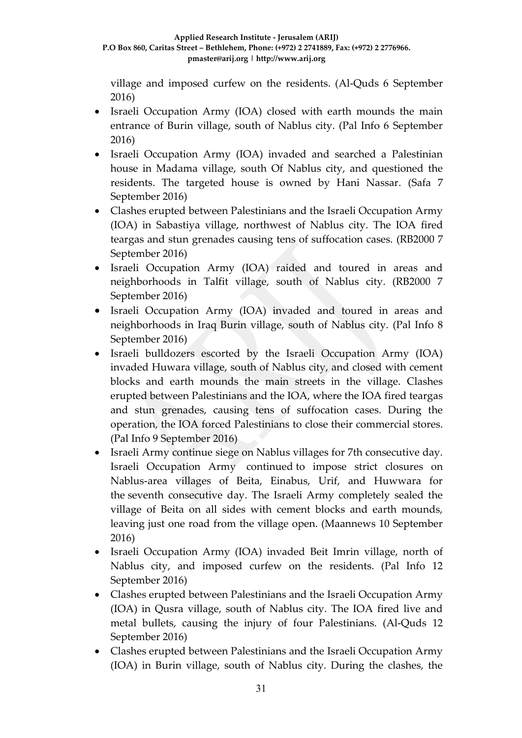village and imposed curfew on the residents. (Al-Quds 6 September 2016)

- Israeli Occupation Army (IOA) closed with earth mounds the main entrance of Burin village, south of Nablus city. (Pal Info 6 September 2016)
- Israeli Occupation Army (IOA) invaded and searched a Palestinian house in Madama village, south Of Nablus city, and questioned the residents. The targeted house is owned by Hani Nassar. (Safa 7 September 2016)
- Clashes erupted between Palestinians and the Israeli Occupation Army (IOA) in Sabastiya village, northwest of Nablus city. The IOA fired teargas and stun grenades causing tens of suffocation cases. (RB2000 7 September 2016)
- Israeli Occupation Army (IOA) raided and toured in areas and neighborhoods in Talfit village, south of Nablus city. (RB2000 7 September 2016)
- Israeli Occupation Army (IOA) invaded and toured in areas and neighborhoods in Iraq Burin village, south of Nablus city. (Pal Info 8 September 2016)
- Israeli bulldozers escorted by the Israeli Occupation Army (IOA) invaded Huwara village, south of Nablus city, and closed with cement blocks and earth mounds the main streets in the village. Clashes erupted between Palestinians and the IOA, where the IOA fired teargas and stun grenades, causing tens of suffocation cases. During the operation, the IOA forced Palestinians to close their commercial stores. (Pal Info 9 September 2016)
- Israeli Army continue siege on Nablus villages for 7th consecutive day. Israeli Occupation Army continued to impose strict closures on Nablus-area villages of Beita, Einabus, Urif, and Huwwara for the seventh consecutive day. The Israeli Army completely sealed the village of Beita on all sides with cement blocks and earth mounds, leaving just one road from the village open. (Maannews 10 September 2016)
- Israeli Occupation Army (IOA) invaded Beit Imrin village, north of Nablus city, and imposed curfew on the residents. (Pal Info 12 September 2016)
- Clashes erupted between Palestinians and the Israeli Occupation Army (IOA) in Qusra village, south of Nablus city. The IOA fired live and metal bullets, causing the injury of four Palestinians. (Al-Quds 12 September 2016)
- Clashes erupted between Palestinians and the Israeli Occupation Army (IOA) in Burin village, south of Nablus city. During the clashes, the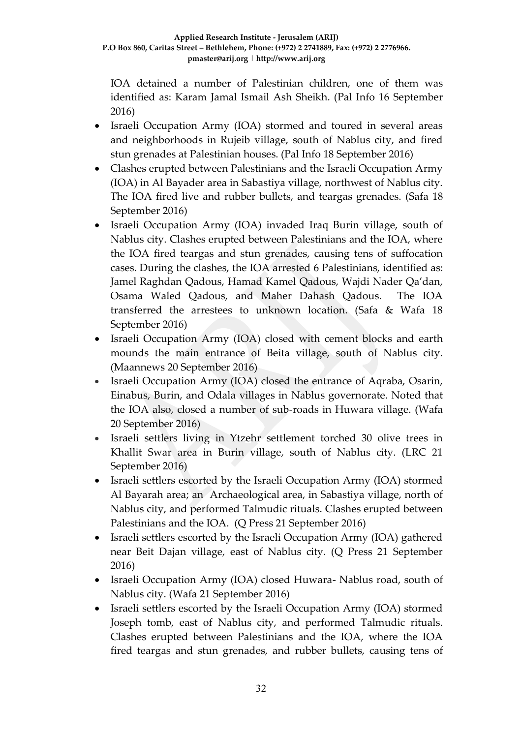IOA detained a number of Palestinian children, one of them was identified as: Karam Jamal Ismail Ash Sheikh. (Pal Info 16 September 2016)

- Israeli Occupation Army (IOA) stormed and toured in several areas and neighborhoods in Rujeib village, south of Nablus city, and fired stun grenades at Palestinian houses. (Pal Info 18 September 2016)
- Clashes erupted between Palestinians and the Israeli Occupation Army (IOA) in Al Bayader area in Sabastiya village, northwest of Nablus city. The IOA fired live and rubber bullets, and teargas grenades. (Safa 18 September 2016)
- Israeli Occupation Army (IOA) invaded Iraq Burin village, south of Nablus city. Clashes erupted between Palestinians and the IOA, where the IOA fired teargas and stun grenades, causing tens of suffocation cases. During the clashes, the IOA arrested 6 Palestinians, identified as: Jamel Raghdan Qadous, Hamad Kamel Qadous, Wajdi Nader Qa'dan, Osama Waled Qadous, and Maher Dahash Qadous. The IOA transferred the arrestees to unknown location. (Safa & Wafa 18 September 2016)
- Israeli Occupation Army (IOA) closed with cement blocks and earth mounds the main entrance of Beita village, south of Nablus city. (Maannews 20 September 2016)
- Israeli Occupation Army (IOA) closed the entrance of Aqraba, Osarin, Einabus, Burin, and Odala villages in Nablus governorate. Noted that the IOA also, closed a number of sub-roads in Huwara village. (Wafa 20 September 2016)
- Israeli settlers living in Ytzehr settlement torched 30 olive trees in Khallit Swar area in Burin village, south of Nablus city. (LRC 21 September 2016)
- Israeli settlers escorted by the Israeli Occupation Army (IOA) stormed Al Bayarah area; an Archaeological area, in Sabastiya village, north of Nablus city, and performed Talmudic rituals. Clashes erupted between Palestinians and the IOA. (Q Press 21 September 2016)
- Israeli settlers escorted by the Israeli Occupation Army (IOA) gathered near Beit Dajan village, east of Nablus city. (Q Press 21 September 2016)
- Israeli Occupation Army (IOA) closed Huwara- Nablus road, south of Nablus city. (Wafa 21 September 2016)
- Israeli settlers escorted by the Israeli Occupation Army (IOA) stormed Joseph tomb, east of Nablus city, and performed Talmudic rituals. Clashes erupted between Palestinians and the IOA, where the IOA fired teargas and stun grenades, and rubber bullets, causing tens of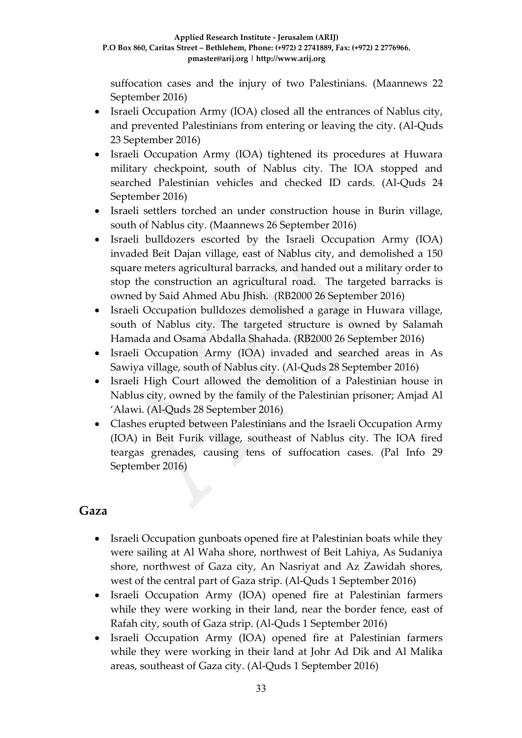suffocation cases and the injury of two Palestinians. (Maannews 22 September 2016)

- Israeli Occupation Army (IOA) closed all the entrances of Nablus city, and prevented Palestinians from entering or leaving the city. (Al-Quds 23 September 2016)
- Israeli Occupation Army (IOA) tightened its procedures at Huwara military checkpoint, south of Nablus city. The IOA stopped and searched Palestinian vehicles and checked ID cards. (Al-Quds 24 September 2016)
- Israeli settlers torched an under construction house in Burin village, south of Nablus city. (Maannews 26 September 2016)
- Israeli bulldozers escorted by the Israeli Occupation Army (IOA) invaded Beit Dajan village, east of Nablus city, and demolished a 150 square meters agricultural barracks, and handed out a military order to stop the construction an agricultural road. The targeted barracks is owned by Said Ahmed Abu Jhish. (RB2000 26 September 2016)
- Israeli Occupation bulldozes demolished a garage in Huwara village, south of Nablus city. The targeted structure is owned by Salamah Hamada and Osama Abdalla Shahada. (RB2000 26 September 2016)
- Israeli Occupation Army (IOA) invaded and searched areas in As Sawiya village, south of Nablus city. (Al-Quds 28 September 2016)
- Israeli High Court allowed the demolition of a Palestinian house in Nablus city, owned by the family of the Palestinian prisoner; Amjad Al 'Alawi. (Al-Quds 28 September 2016)
- Clashes erupted between Palestinians and the Israeli Occupation Army (IOA) in Beit Furik village, southeast of Nablus city. The IOA fired teargas grenades, causing tens of suffocation cases. (Pal Info 29 September 2016)

### **Gaza**

- Israeli Occupation gunboats opened fire at Palestinian boats while they were sailing at Al Waha shore, northwest of Beit Lahiya, As Sudaniya shore, northwest of Gaza city, An Nasriyat and Az Zawidah shores, west of the central part of Gaza strip. (Al-Quds 1 September 2016)
- Israeli Occupation Army (IOA) opened fire at Palestinian farmers while they were working in their land, near the border fence, east of Rafah city, south of Gaza strip. (Al-Quds 1 September 2016)
- Israeli Occupation Army (IOA) opened fire at Palestinian farmers while they were working in their land at Johr Ad Dik and Al Malika areas, southeast of Gaza city. (Al-Quds 1 September 2016)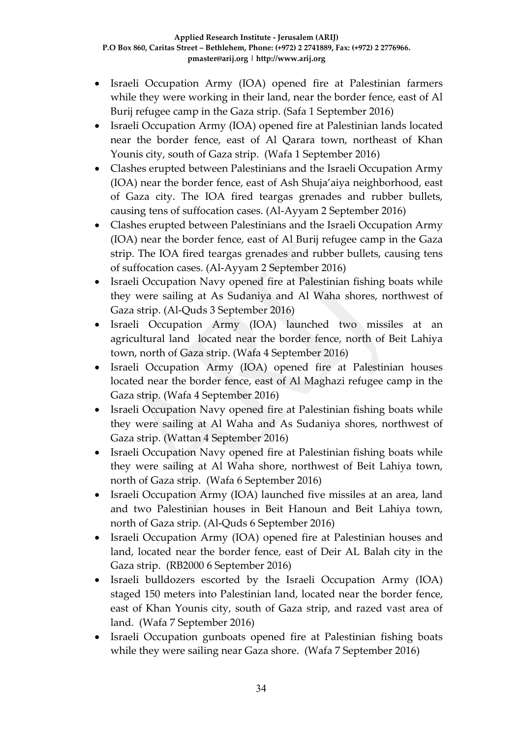- Israeli Occupation Army (IOA) opened fire at Palestinian farmers while they were working in their land, near the border fence, east of Al Burij refugee camp in the Gaza strip. (Safa 1 September 2016)
- Israeli Occupation Army (IOA) opened fire at Palestinian lands located near the border fence, east of Al Qarara town, northeast of Khan Younis city, south of Gaza strip. (Wafa 1 September 2016)
- Clashes erupted between Palestinians and the Israeli Occupation Army (IOA) near the border fence, east of Ash Shuja'aiya neighborhood, east of Gaza city. The IOA fired teargas grenades and rubber bullets, causing tens of suffocation cases. (Al-Ayyam 2 September 2016)
- Clashes erupted between Palestinians and the Israeli Occupation Army (IOA) near the border fence, east of Al Burij refugee camp in the Gaza strip. The IOA fired teargas grenades and rubber bullets, causing tens of suffocation cases. (Al-Ayyam 2 September 2016)
- Israeli Occupation Navy opened fire at Palestinian fishing boats while they were sailing at As Sudaniya and Al Waha shores, northwest of Gaza strip. (Al-Quds 3 September 2016)
- Israeli Occupation Army (IOA) launched two missiles at an agricultural land located near the border fence, north of Beit Lahiya town, north of Gaza strip. (Wafa 4 September 2016)
- Israeli Occupation Army (IOA) opened fire at Palestinian houses located near the border fence, east of Al Maghazi refugee camp in the Gaza strip. (Wafa 4 September 2016)
- Israeli Occupation Navy opened fire at Palestinian fishing boats while they were sailing at Al Waha and As Sudaniya shores, northwest of Gaza strip. (Wattan 4 September 2016)
- Israeli Occupation Navy opened fire at Palestinian fishing boats while they were sailing at Al Waha shore, northwest of Beit Lahiya town, north of Gaza strip. (Wafa 6 September 2016)
- Israeli Occupation Army (IOA) launched five missiles at an area, land and two Palestinian houses in Beit Hanoun and Beit Lahiya town, north of Gaza strip. (Al-Quds 6 September 2016)
- Israeli Occupation Army (IOA) opened fire at Palestinian houses and land, located near the border fence, east of Deir AL Balah city in the Gaza strip. (RB2000 6 September 2016)
- Israeli bulldozers escorted by the Israeli Occupation Army (IOA) staged 150 meters into Palestinian land, located near the border fence, east of Khan Younis city, south of Gaza strip, and razed vast area of land. (Wafa 7 September 2016)
- Israeli Occupation gunboats opened fire at Palestinian fishing boats while they were sailing near Gaza shore. (Wafa 7 September 2016)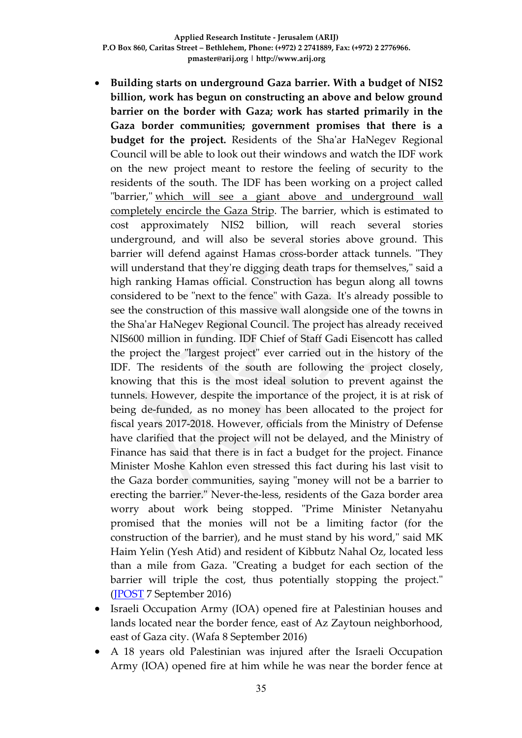- **Building starts on underground Gaza barrier. With a budget of NIS2 billion, work has begun on constructing an above and below ground barrier on the border with Gaza; work has started primarily in the Gaza border communities; government promises that there is a budget for the project.** Residents of the Sha'ar HaNegev Regional Council will be able to look out their windows and watch the IDF work on the new project meant to restore the feeling of security to the residents of the south. The IDF has been working on a project called "barrier," which will see a giant above and [underground](http://www.ynetnews.com/articles/0,7340,L-4816509,00.html) wall [completely](http://www.ynetnews.com/articles/0,7340,L-4816509,00.html) encircle the Gaza Strip. The barrier, which is estimated to cost approximately NIS2 billion, will reach several stories underground, and will also be several stories above ground. This barrier will defend against Hamas cross-border attack tunnels. "They will understand that they're digging death traps for themselves," said a high ranking Hamas official. Construction has begun along all towns considered to be "next to the fence" with Gaza. It's already possible to see the construction of this massive wall alongside one of the towns in the Sha'ar HaNegev Regional Council. The project has already received NIS600 million in funding. IDF Chief of Staff Gadi Eisencott has called the project the "largest project" ever carried out in the history of the IDF. The residents of the south are following the project closely, knowing that this is the most ideal solution to prevent against the tunnels. However, despite the importance of the project, it is at risk of being de-funded, as no money has been allocated to the project for fiscal years 2017-2018. However, officials from the Ministry of Defense have clarified that the project will not be delayed, and the Ministry of Finance has said that there is in fact a budget for the project. Finance Minister Moshe Kahlon even stressed this fact during his last visit to the Gaza border communities, saying "money will not be a barrier to erecting the barrier." Never-the-less, residents of the Gaza border area worry about work being stopped. "Prime Minister Netanyahu promised that the monies will not be a limiting factor (for the construction of the barrier), and he must stand by his word," said MK Haim Yelin (Yesh Atid) and resident of Kibbutz Nahal Oz, located less than a mile from Gaza. "Creating a budget for each section of the barrier will triple the cost, thus potentially stopping the project." [\(JPOST](http://www.ynetnews.com/articles/0,7340,L-4851494,00.html) 7 September 2016)
- Israeli Occupation Army (IOA) opened fire at Palestinian houses and lands located near the border fence, east of Az Zaytoun neighborhood, east of Gaza city. (Wafa 8 September 2016)
- A 18 years old Palestinian was injured after the Israeli Occupation Army (IOA) opened fire at him while he was near the border fence at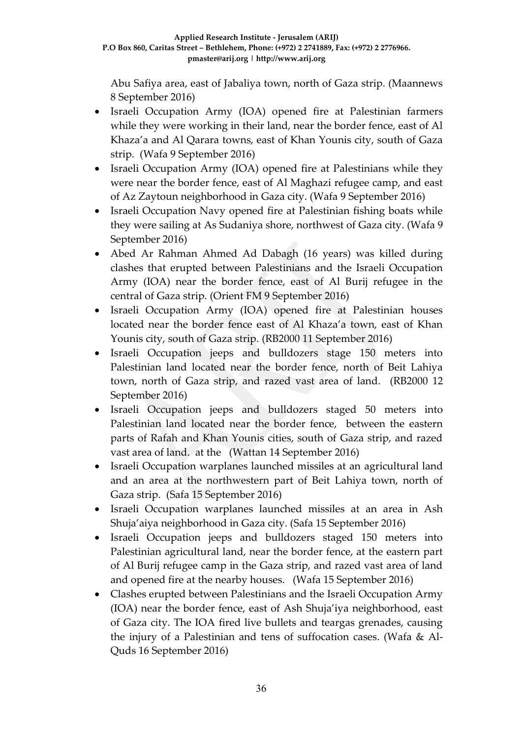Abu Safiya area, east of Jabaliya town, north of Gaza strip. (Maannews 8 September 2016)

- Israeli Occupation Army (IOA) opened fire at Palestinian farmers while they were working in their land, near the border fence, east of Al Khaza'a and Al Qarara towns, east of Khan Younis city, south of Gaza strip. (Wafa 9 September 2016)
- Israeli Occupation Army (IOA) opened fire at Palestinians while they were near the border fence, east of Al Maghazi refugee camp, and east of Az Zaytoun neighborhood in Gaza city. (Wafa 9 September 2016)
- Israeli Occupation Navy opened fire at Palestinian fishing boats while they were sailing at As Sudaniya shore, northwest of Gaza city. (Wafa 9 September 2016)
- Abed Ar Rahman Ahmed Ad Dabagh (16 years) was killed during clashes that erupted between Palestinians and the Israeli Occupation Army (IOA) near the border fence, east of Al Burij refugee in the central of Gaza strip. (Orient FM 9 September 2016)
- Israeli Occupation Army (IOA) opened fire at Palestinian houses located near the border fence east of Al Khaza'a town, east of Khan Younis city, south of Gaza strip. (RB2000 11 September 2016)
- Israeli Occupation jeeps and bulldozers stage 150 meters into Palestinian land located near the border fence, north of Beit Lahiya town, north of Gaza strip, and razed vast area of land. (RB2000 12 September 2016)
- Israeli Occupation jeeps and bulldozers staged 50 meters into Palestinian land located near the border fence, between the eastern parts of Rafah and Khan Younis cities, south of Gaza strip, and razed vast area of land. at the (Wattan 14 September 2016)
- Israeli Occupation warplanes launched missiles at an agricultural land and an area at the northwestern part of Beit Lahiya town, north of Gaza strip. (Safa 15 September 2016)
- Israeli Occupation warplanes launched missiles at an area in Ash Shuja'aiya neighborhood in Gaza city. (Safa 15 September 2016)
- Israeli Occupation jeeps and bulldozers staged 150 meters into Palestinian agricultural land, near the border fence, at the eastern part of Al Burij refugee camp in the Gaza strip, and razed vast area of land and opened fire at the nearby houses. (Wafa 15 September 2016)
- Clashes erupted between Palestinians and the Israeli Occupation Army (IOA) near the border fence, east of Ash Shuja'iya neighborhood, east of Gaza city. The IOA fired live bullets and teargas grenades, causing the injury of a Palestinian and tens of suffocation cases. (Wafa & Al-Quds 16 September 2016)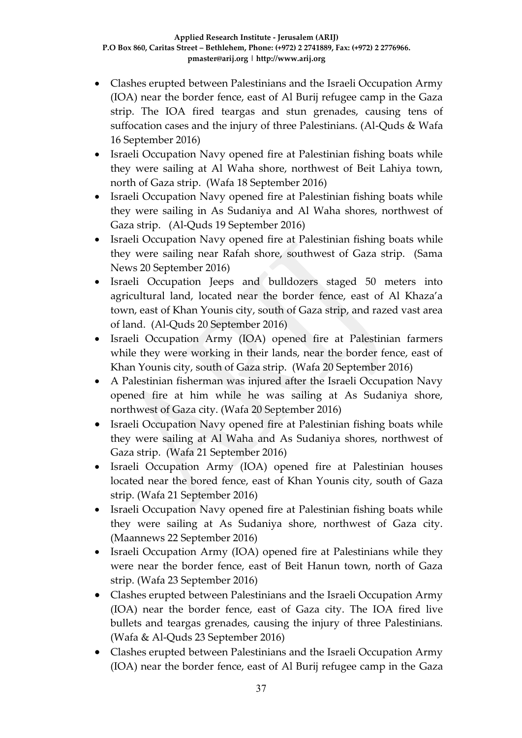- Clashes erupted between Palestinians and the Israeli Occupation Army (IOA) near the border fence, east of Al Burij refugee camp in the Gaza strip. The IOA fired teargas and stun grenades, causing tens of suffocation cases and the injury of three Palestinians. (Al-Quds & Wafa 16 September 2016)
- Israeli Occupation Navy opened fire at Palestinian fishing boats while they were sailing at Al Waha shore, northwest of Beit Lahiya town, north of Gaza strip. (Wafa 18 September 2016)
- Israeli Occupation Navy opened fire at Palestinian fishing boats while they were sailing in As Sudaniya and Al Waha shores, northwest of Gaza strip. (Al-Quds 19 September 2016)
- Israeli Occupation Navy opened fire at Palestinian fishing boats while they were sailing near Rafah shore, southwest of Gaza strip. (Sama News 20 September 2016)
- Israeli Occupation Jeeps and bulldozers staged 50 meters into agricultural land, located near the border fence, east of Al Khaza'a town, east of Khan Younis city, south of Gaza strip, and razed vast area of land. (Al-Quds 20 September 2016)
- Israeli Occupation Army (IOA) opened fire at Palestinian farmers while they were working in their lands, near the border fence, east of Khan Younis city, south of Gaza strip. (Wafa 20 September 2016)
- A Palestinian fisherman was injured after the Israeli Occupation Navy opened fire at him while he was sailing at As Sudaniya shore, northwest of Gaza city. (Wafa 20 September 2016)
- Israeli Occupation Navy opened fire at Palestinian fishing boats while they were sailing at Al Waha and As Sudaniya shores, northwest of Gaza strip. (Wafa 21 September 2016)
- Israeli Occupation Army (IOA) opened fire at Palestinian houses located near the bored fence, east of Khan Younis city, south of Gaza strip. (Wafa 21 September 2016)
- Israeli Occupation Navy opened fire at Palestinian fishing boats while they were sailing at As Sudaniya shore, northwest of Gaza city. (Maannews 22 September 2016)
- Israeli Occupation Army (IOA) opened fire at Palestinians while they were near the border fence, east of Beit Hanun town, north of Gaza strip. (Wafa 23 September 2016)
- Clashes erupted between Palestinians and the Israeli Occupation Army (IOA) near the border fence, east of Gaza city. The IOA fired live bullets and teargas grenades, causing the injury of three Palestinians. (Wafa & Al-Quds 23 September 2016)
- Clashes erupted between Palestinians and the Israeli Occupation Army (IOA) near the border fence, east of Al Burij refugee camp in the Gaza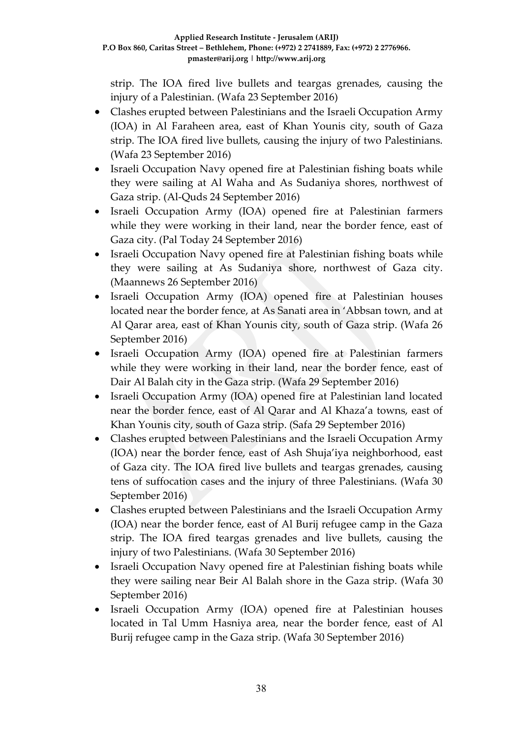strip. The IOA fired live bullets and teargas grenades, causing the injury of a Palestinian. (Wafa 23 September 2016)

- Clashes erupted between Palestinians and the Israeli Occupation Army (IOA) in Al Faraheen area, east of Khan Younis city, south of Gaza strip. The IOA fired live bullets, causing the injury of two Palestinians. (Wafa 23 September 2016)
- Israeli Occupation Navy opened fire at Palestinian fishing boats while they were sailing at Al Waha and As Sudaniya shores, northwest of Gaza strip. (Al-Quds 24 September 2016)
- Israeli Occupation Army (IOA) opened fire at Palestinian farmers while they were working in their land, near the border fence, east of Gaza city. (Pal Today 24 September 2016)
- Israeli Occupation Navy opened fire at Palestinian fishing boats while they were sailing at As Sudaniya shore, northwest of Gaza city. (Maannews 26 September 2016)
- Israeli Occupation Army (IOA) opened fire at Palestinian houses located near the border fence, at As Sanati area in 'Abbsan town, and at Al Qarar area, east of Khan Younis city, south of Gaza strip. (Wafa 26 September 2016)
- Israeli Occupation Army (IOA) opened fire at Palestinian farmers while they were working in their land, near the border fence, east of Dair Al Balah city in the Gaza strip. (Wafa 29 September 2016)
- Israeli Occupation Army (IOA) opened fire at Palestinian land located near the border fence, east of Al Qarar and Al Khaza'a towns, east of Khan Younis city, south of Gaza strip. (Safa 29 September 2016)
- Clashes erupted between Palestinians and the Israeli Occupation Army (IOA) near the border fence, east of Ash Shuja'iya neighborhood, east of Gaza city. The IOA fired live bullets and teargas grenades, causing tens of suffocation cases and the injury of three Palestinians. (Wafa 30 September 2016)
- Clashes erupted between Palestinians and the Israeli Occupation Army (IOA) near the border fence, east of Al Burij refugee camp in the Gaza strip. The IOA fired teargas grenades and live bullets, causing the injury of two Palestinians. (Wafa 30 September 2016)
- Israeli Occupation Navy opened fire at Palestinian fishing boats while they were sailing near Beir Al Balah shore in the Gaza strip. (Wafa 30 September 2016)
- Israeli Occupation Army (IOA) opened fire at Palestinian houses located in Tal Umm Hasniya area, near the border fence, east of Al Burij refugee camp in the Gaza strip. (Wafa 30 September 2016)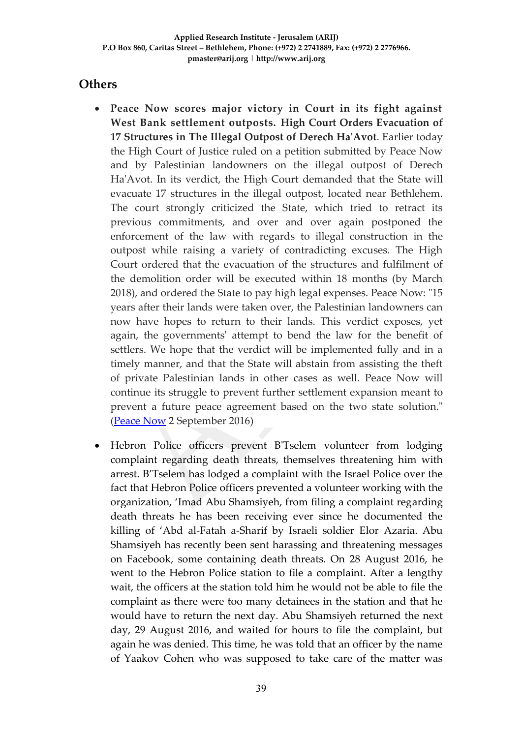### **Others**

- **Peace Now scores major victory in Court in its fight against West Bank settlement outposts. High Court Orders Evacuation of 17 Structures in The Illegal Outpost of Derech Ha'Avot**. Earlier today the High Court of Justice ruled on a petition submitted by Peace Now and by Palestinian landowners on the illegal outpost of Derech Ha'Avot. In its verdict, the High Court demanded that the State will evacuate 17 structures in the illegal outpost, located near Bethlehem. The court strongly criticized the State, which tried to retract its previous commitments, and over and over again postponed the enforcement of the law with regards to illegal construction in the outpost while raising a variety of contradicting excuses. The High Court ordered that the evacuation of the structures and fulfilment of the demolition order will be executed within 18 months (by March 2018), and ordered the State to pay high legal expenses. Peace Now: "15 years after their lands were taken over, the Palestinian landowners can now have hopes to return to their lands. This verdict exposes, yet again, the governments' attempt to bend the law for the benefit of settlers. We hope that the verdict will be implemented fully and in a timely manner, and that the State will abstain from assisting the theft of private Palestinian lands in other cases as well. Peace Now will continue its struggle to prevent further settlement expansion meant to prevent a future peace agreement based on the two state solution." [\(Peace Now](http://peacenow.org/entry.php?id=20119#.V8popvl96M9) 2 September 2016)
- Hebron Police officers prevent B'Tselem volunteer from lodging complaint regarding death threats, themselves threatening him with arrest. B'Tselem has lodged a complaint with the Israel Police over the fact that Hebron Police officers prevented a volunteer working with the organization, 'Imad Abu Shamsiyeh, from filing a complaint regarding death threats he has been receiving ever since he documented the killing of 'Abd al-Fatah a-Sharif by Israeli soldier Elor Azaria. Abu Shamsiyeh has recently been sent harassing and threatening messages on Facebook, some containing death threats. On 28 August 2016, he went to the Hebron Police station to file a complaint. After a lengthy wait, the officers at the station told him he would not be able to file the complaint as there were too many detainees in the station and that he would have to return the next day. Abu Shamsiyeh returned the next day, 29 August 2016, and waited for hours to file the complaint, but again he was denied. This time, he was told that an officer by the name of Yaakov Cohen who was supposed to take care of the matter was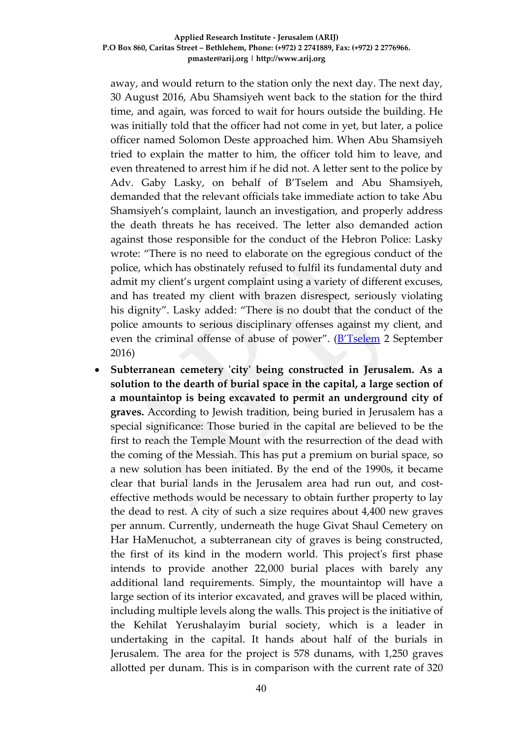away, and would return to the station only the next day. The next day, 30 August 2016, Abu Shamsiyeh went back to the station for the third time, and again, was forced to wait for hours outside the building. He was initially told that the officer had not come in yet, but later, a police officer named Solomon Deste approached him. When Abu Shamsiyeh tried to explain the matter to him, the officer told him to leave, and even threatened to arrest him if he did not. A letter sent to the police by Adv. Gaby Lasky, on behalf of B'Tselem and Abu Shamsiyeh, demanded that the relevant officials take immediate action to take Abu Shamsiyeh's complaint, launch an investigation, and properly address the death threats he has received. The letter also demanded action against those responsible for the conduct of the Hebron Police: Lasky wrote: "There is no need to elaborate on the egregious conduct of the police, which has obstinately refused to fulfil its fundamental duty and admit my client's urgent complaint using a variety of different excuses, and has treated my client with brazen disrespect, seriously violating his dignity". Lasky added: "There is no doubt that the conduct of the police amounts to serious disciplinary offenses against my client, and even the criminal offense of abuse of power". (**B'Tselem** 2 September 2016)

 **Subterranean cemetery 'city' being constructed in Jerusalem. As a solution to the dearth of burial space in the capital, a large section of a mountaintop is being excavated to permit an underground city of graves.** According to Jewish tradition, being buried in Jerusalem has a special significance: Those buried in the capital are believed to be the first to reach the Temple Mount with the resurrection of the dead with the coming of the Messiah. This has put a premium on burial space, so a new solution has been initiated. By the end of the 1990s, it became clear that burial lands in the Jerusalem area had run out, and costeffective methods would be necessary to obtain further property to lay the dead to rest. A city of such a size requires about 4,400 new graves per annum. Currently, underneath the huge Givat Shaul Cemetery on Har HaMenuchot, a subterranean city of graves is being constructed, the first of its kind in the modern world. This project's first phase intends to provide another 22,000 burial places with barely any additional land requirements. Simply, the mountaintop will have a large section of its interior excavated, and graves will be placed within, including multiple levels along the walls. This project is the initiative of the Kehilat Yerushalayim burial society, which is a leader in undertaking in the capital. It hands about half of the burials in Jerusalem. The area for the project is 578 dunams, with 1,250 graves allotted per dunam. This is in comparison with the current rate of 320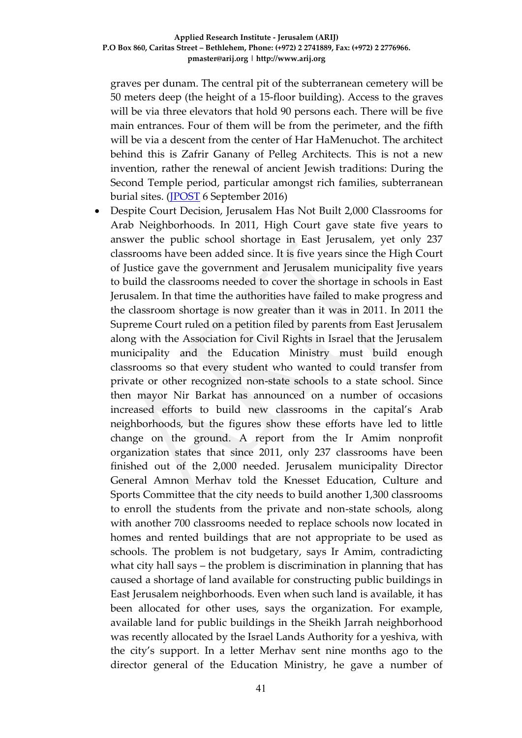graves per dunam. The central pit of the subterranean cemetery will be 50 meters deep (the height of a 15-floor building). Access to the graves will be via three elevators that hold 90 persons each. There will be five main entrances. Four of them will be from the perimeter, and the fifth will be via a descent from the center of Har HaMenuchot. The architect behind this is Zafrir Ganany of Pelleg Architects. This is not a new invention, rather the renewal of ancient Jewish traditions: During the Second Temple period, particular amongst rich families, subterranean burial sites. [\(JPOST](http://www.ynetnews.com/articles/0,7340,L-4851070,00.html) 6 September 2016)

 Despite Court Decision, Jerusalem Has Not Built 2,000 Classrooms for Arab Neighborhoods. In 2011, High Court gave state five years to answer the public school shortage in East Jerusalem, yet only 237 classrooms have been added since. It is five years since the High Court of Justice gave the government and Jerusalem municipality five years to build the classrooms needed to cover the shortage in schools in East Jerusalem. In that time the authorities have failed to make progress and the classroom shortage is now greater than it was in 2011. In 2011 the Supreme Court ruled on a petition filed by parents from East Jerusalem along with the Association for Civil Rights in Israel that the Jerusalem municipality and the Education Ministry must build enough classrooms so that every student who wanted to could transfer from private or other recognized non-state schools to a state school. Since then mayor Nir Barkat has announced on a number of occasions increased efforts to build new classrooms in the capital's Arab neighborhoods, but the figures show these efforts have led to little change on the ground. A report from the Ir Amim nonprofit organization states that since 2011, only 237 classrooms have been finished out of the 2,000 needed. Jerusalem municipality Director General Amnon Merhav told the Knesset Education, Culture and Sports Committee that the city needs to build another 1,300 classrooms to enroll the students from the private and non-state schools, along with another 700 classrooms needed to replace schools now located in homes and rented buildings that are not appropriate to be used as schools. The problem is not budgetary, says Ir Amim, contradicting what city hall says – the problem is discrimination in planning that has caused a shortage of land available for constructing public buildings in East Jerusalem neighborhoods. Even when such land is available, it has been allocated for other uses, says the organization. For example, available land for public buildings in the Sheikh Jarrah neighborhood was recently allocated by the Israel Lands Authority for a yeshiva, with the city's support. In a letter Merhav sent nine months ago to the director general of the Education Ministry, he gave a number of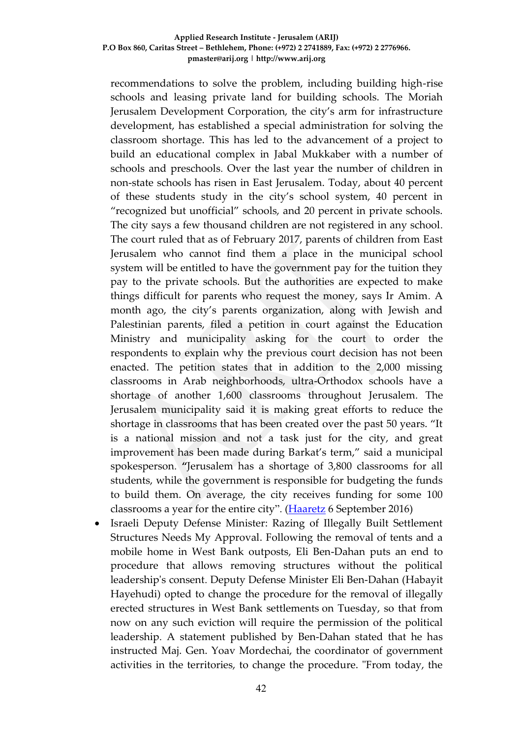recommendations to solve the problem, including building high-rise schools and leasing private land for building schools. The Moriah Jerusalem Development Corporation, the city's arm for infrastructure development, has established a special administration for solving the classroom shortage. This has led to the advancement of a project to build an educational complex in Jabal Mukkaber with a number of schools and preschools. Over the last year the number of children in non-state schools has risen in East Jerusalem. Today, about 40 percent of these students study in the city's school system, 40 percent in "recognized but unofficial" schools, and 20 percent in private schools. The city says a few thousand children are not registered in any school. The court ruled that as of February 2017, parents of children from East Jerusalem who cannot find them a place in the municipal school system will be entitled to have the government pay for the tuition they pay to the private schools. But the authorities are expected to make things difficult for parents who request the money, says Ir Amim. A month ago, the city's parents organization, along with Jewish and Palestinian parents, filed a petition in court against the Education Ministry and municipality asking for the court to order the respondents to explain why the previous court decision has not been enacted. The petition states that in addition to the 2,000 missing classrooms in Arab neighborhoods, ultra-Orthodox schools have a shortage of another 1,600 classrooms throughout Jerusalem. The Jerusalem municipality said it is making great efforts to reduce the shortage in classrooms that has been created over the past 50 years. "It is a national mission and not a task just for the city, and great improvement has been made during Barkat's term," said a municipal spokesperson. **"**Jerusalem has a shortage of 3,800 classrooms for all students, while the government is responsible for budgeting the funds to build them. On average, the city receives funding for some 100 classrooms a year for the entire city". [\(Haaretz](http://www.haaretz.com/israel-news/.premium-1.739785) 6 September 2016)

 Israeli Deputy Defense Minister: Razing of Illegally Built Settlement Structures Needs My Approval. Following the removal of tents and a mobile home in West Bank outposts, Eli Ben-Dahan puts an end to procedure that allows removing structures without the political leadership's consent. Deputy Defense Minister Eli Ben-Dahan (Habayit Hayehudi) opted to change the procedure for the removal of illegally erected structures in West Bank settlements on Tuesday, so that from now on any such eviction will require the permission of the political leadership. A statement published by Ben-Dahan stated that he has instructed Maj. Gen. Yoav Mordechai, the coordinator of government activities in the territories, to change the procedure. "From today, the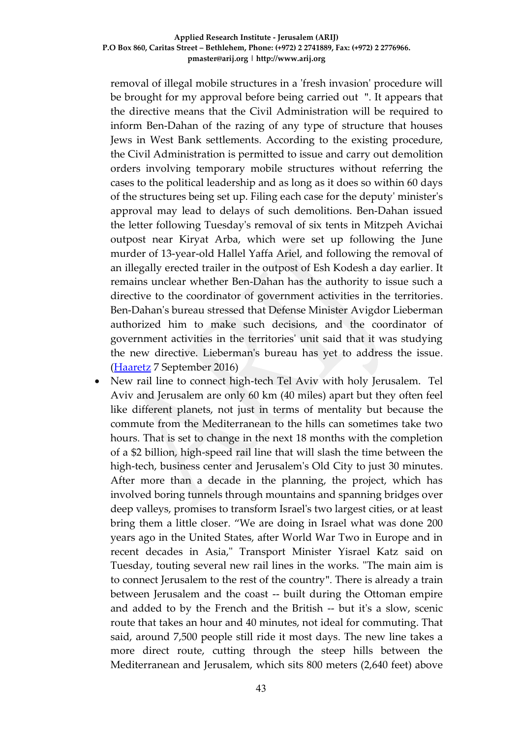removal of illegal mobile structures in a 'fresh invasion' procedure will be brought for my approval before being carried out ". It appears that the directive means that the Civil Administration will be required to inform Ben-Dahan of the razing of any type of structure that houses Jews in West Bank settlements. According to the existing procedure, the Civil Administration is permitted to issue and carry out demolition orders involving temporary mobile structures without referring the cases to the political leadership and as long as it does so within 60 days of the structures being set up. Filing each case for the deputy' minister's approval may lead to delays of such demolitions. Ben-Dahan issued the letter following Tuesday's removal of six tents in Mitzpeh Avichai outpost near Kiryat Arba, which were set up following the June murder of 13-year-old Hallel Yaffa Ariel, and following the removal of an illegally erected trailer in the outpost of Esh Kodesh a day earlier. It remains unclear whether Ben-Dahan has the authority to issue such a directive to the coordinator of government activities in the territories. Ben-Dahan's bureau stressed that Defense Minister Avigdor Lieberman authorized him to make such decisions, and the coordinator of government activities in the territories' unit said that it was studying the new directive. Lieberman's bureau has yet to address the issue. [\(Haaretz](http://www.haaretz.com/israel-news/.premium-1.740644) 7 September 2016)

 New rail line to connect high-tech Tel Aviv with holy Jerusalem. Tel Aviv and Jerusalem are only 60 km (40 miles) apart but they often feel like different planets, not just in terms of mentality but because the commute from the Mediterranean to the hills can sometimes take two hours. That is set to change in the next 18 months with the completion of a \$2 billion, high-speed rail line that will slash the time between the high-tech, business center and Jerusalem's Old City to just 30 minutes. After more than a decade in the planning, the project, which has involved boring tunnels through mountains and spanning bridges over deep valleys, promises to transform Israel's two largest cities, or at least bring them a little closer. "We are doing in Israel what was done 200 years ago in the United States, after World War Two in Europe and in recent decades in Asia," Transport Minister Yisrael Katz said on Tuesday, touting several new rail lines in the works. "The main aim is to connect Jerusalem to the rest of the country". There is already a train between Jerusalem and the coast -- built during the Ottoman empire and added to by the French and the British -- but it's a slow, scenic route that takes an hour and 40 minutes, not ideal for commuting. That said, around 7,500 people still ride it most days. The new line takes a more direct route, cutting through the steep hills between the Mediterranean and Jerusalem, which sits 800 meters (2,640 feet) above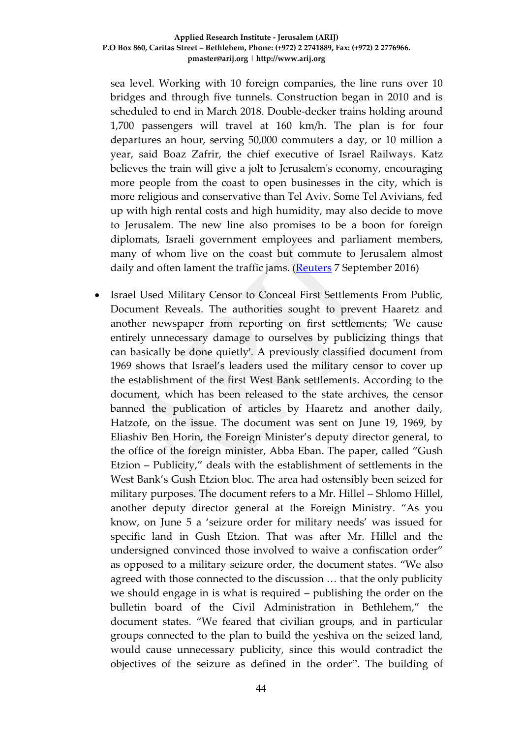sea level. Working with 10 foreign companies, the line runs over 10 bridges and through five tunnels. Construction began in 2010 and is scheduled to end in March 2018. Double-decker trains holding around 1,700 passengers will travel at 160 km/h. The plan is for four departures an hour, serving 50,000 commuters a day, or 10 million a year, said Boaz Zafrir, the chief executive of Israel Railways. Katz believes the train will give a jolt to Jerusalem's economy, encouraging more people from the coast to open businesses in the city, which is more religious and conservative than Tel Aviv. Some Tel Avivians, fed up with high rental costs and high humidity, may also decide to move to Jerusalem. The new line also promises to be a boon for foreign diplomats, Israeli government employees and parliament members, many of whom live on the coast but commute to Jerusalem almost daily and often lament the traffic jams. [\(Reuters](http://www.reuters.com/article/us-israel-railway-idUSKCN11C1MB) 7 September 2016)

 Israel Used Military Censor to Conceal First Settlements From Public, Document Reveals. The authorities sought to prevent Haaretz and another newspaper from reporting on first settlements; 'We cause entirely unnecessary damage to ourselves by publicizing things that can basically be done quietly'. A previously classified document from 1969 shows that Israel's leaders used the military censor to cover up the establishment of the first West Bank settlements. According to the document, which has been released to the state archives, the censor banned the publication of articles by Haaretz and another daily, Hatzofe, on the issue. The document was sent on June 19, 1969, by Eliashiv Ben Horin, the Foreign Minister's deputy director general, to the office of the foreign minister, Abba Eban. The paper, called "Gush Etzion – Publicity," deals with the establishment of settlements in the West Bank's Gush Etzion bloc. The area had ostensibly been seized for military purposes. The document refers to a Mr. Hillel – Shlomo Hillel, another deputy director general at the Foreign Ministry. "As you know, on June 5 a 'seizure order for military needs' was issued for specific land in Gush Etzion. That was after Mr. Hillel and the undersigned convinced those involved to waive a confiscation order" as opposed to a military seizure order, the document states. "We also agreed with those connected to the discussion … that the only publicity we should engage in is what is required – publishing the order on the bulletin board of the Civil Administration in Bethlehem," the document states. "We feared that civilian groups, and in particular groups connected to the plan to build the yeshiva on the seized land, would cause unnecessary publicity, since this would contradict the objectives of the seizure as defined in the order". The building of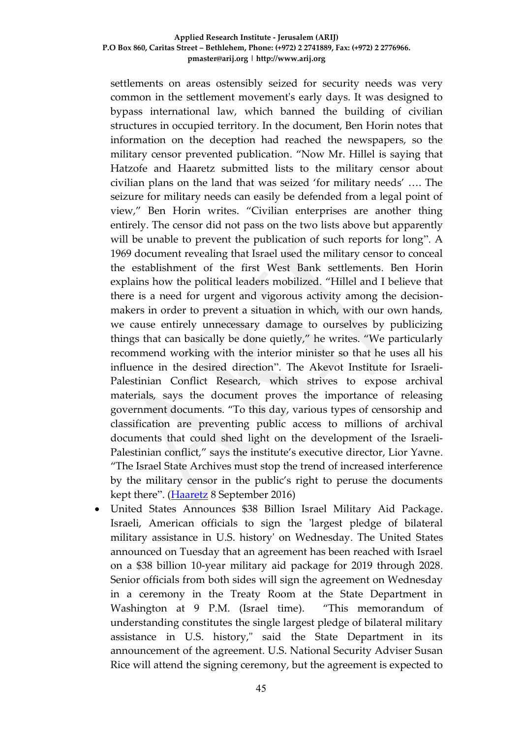settlements on areas ostensibly seized for security needs was very common in the settlement movement's early days. It was designed to bypass international law, which banned the building of civilian structures in occupied territory. In the document, Ben Horin notes that information on the deception had reached the newspapers, so the military censor prevented publication. "Now Mr. Hillel is saying that Hatzofe and Haaretz submitted lists to the military censor about civilian plans on the land that was seized 'for military needs' …. The seizure for military needs can easily be defended from a legal point of view," Ben Horin writes. "Civilian enterprises are another thing entirely. The censor did not pass on the two lists above but apparently will be unable to prevent the publication of such reports for long". A 1969 document revealing that Israel used the military censor to conceal the establishment of the first West Bank settlements. Ben Horin explains how the political leaders mobilized. "Hillel and I believe that there is a need for urgent and vigorous activity among the decisionmakers in order to prevent a situation in which, with our own hands, we cause entirely unnecessary damage to ourselves by publicizing things that can basically be done quietly," he writes. "We particularly recommend working with the interior minister so that he uses all his influence in the desired direction". The Akevot Institute for Israeli-Palestinian Conflict Research, which strives to expose archival materials, says the document proves the importance of releasing government documents. "To this day, various types of censorship and classification are preventing public access to millions of archival documents that could shed light on the development of the Israeli-Palestinian conflict," says the institute's executive director, Lior Yavne. "The Israel State Archives must stop the trend of increased interference by the military censor in the public's right to peruse the documents kept there". [\(Haaretz](http://www.haaretz.com/israel-news/.premium-1.740778) 8 September 2016)

 United States Announces \$38 Billion Israel Military Aid Package. Israeli, American officials to sign the 'largest pledge of bilateral military assistance in U.S. history' on Wednesday. The United States announced on Tuesday that an agreement has been reached with Israel on a \$38 billion 10-year military aid package for 2019 through 2028. Senior officials from both sides will sign the agreement on Wednesday in a ceremony in the Treaty Room at the State Department in Washington at 9 P.M. (Israel time). "This memorandum of understanding constitutes the single largest pledge of bilateral military assistance in U.S. history," said the State Department in its announcement of the agreement. U.S. National Security Adviser Susan Rice will attend the signing ceremony, but the agreement is expected to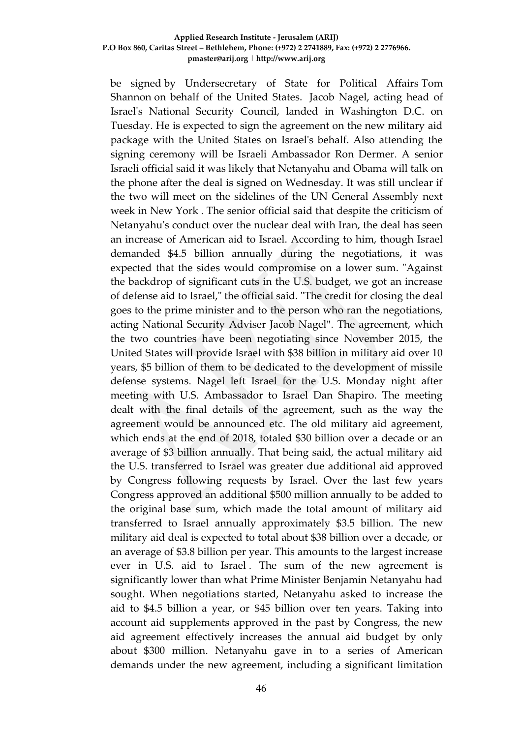be signed by Undersecretary of State for Political Affairs Tom Shannon on behalf of the United States. Jacob Nagel, acting head of Israel's National Security Council, landed in Washington D.C. on Tuesday. He is expected to sign the agreement on the new military aid package with the United States on Israel's behalf. Also attending the signing ceremony will be Israeli Ambassador Ron Dermer. A senior Israeli official said it was likely that Netanyahu and Obama will talk on the phone after the deal is signed on Wednesday. It was still unclear if the two will meet on the sidelines of the UN General Assembly next week in New York . The senior official said that despite the criticism of Netanyahu's conduct over the nuclear deal with Iran, the deal has seen an increase of American aid to Israel. According to him, though Israel demanded \$4.5 billion annually during the negotiations, it was expected that the sides would compromise on a lower sum. "Against the backdrop of significant cuts in the U.S. budget, we got an increase of defense aid to Israel," the official said. "The credit for closing the deal goes to the prime minister and to the person who ran the negotiations, acting National Security Adviser Jacob Nagel". The agreement, which the two countries have been negotiating since November 2015, the United States will provide Israel with \$38 billion in military aid over 10 years, \$5 billion of them to be dedicated to the development of missile defense systems. Nagel left Israel for the U.S. Monday night after meeting with U.S. Ambassador to Israel Dan Shapiro. The meeting dealt with the final details of the agreement, such as the way the agreement would be announced etc. The old military aid agreement, which ends at the end of 2018, totaled \$30 billion over a decade or an average of \$3 billion annually. That being said, the actual military aid the U.S. transferred to Israel was greater due additional aid approved by Congress following requests by Israel. Over the last few years Congress approved an additional \$500 million annually to be added to the original base sum, which made the total amount of military aid transferred to Israel annually approximately \$3.5 billion. The new military aid deal is expected to total about \$38 billion over a decade, or an average of \$3.8 billion per year. This amounts to the largest increase ever in U.S. aid to Israel . The sum of the new agreement is significantly lower than what Prime Minister Benjamin Netanyahu had sought. When negotiations started, Netanyahu asked to increase the aid to \$4.5 billion a year, or \$45 billion over ten years. Taking into account aid supplements approved in the past by Congress, the new aid agreement effectively increases the annual aid budget by only about \$300 million. Netanyahu gave in to a series of American demands under the new agreement, including a significant limitation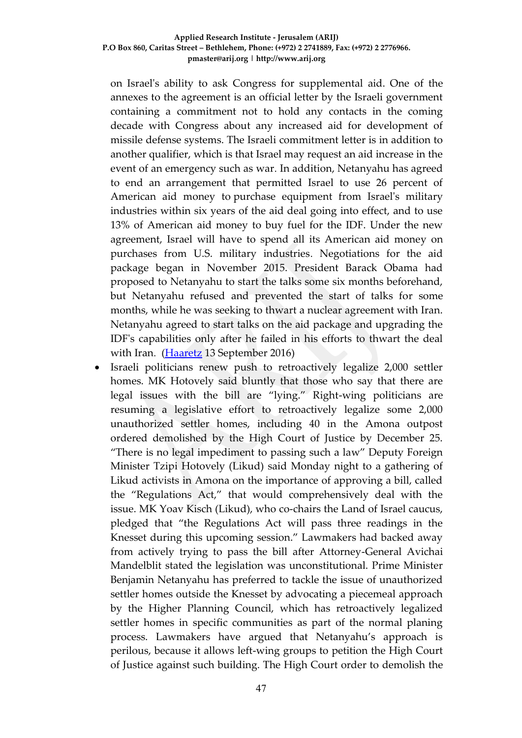on Israel's ability to ask Congress for supplemental aid. One of the annexes to the agreement is an official letter by the Israeli government containing a commitment not to hold any contacts in the coming decade with Congress about any increased aid for development of missile defense systems. The Israeli commitment letter is in addition to another qualifier, which is that Israel may request an aid increase in the event of an emergency such as war. In addition, Netanyahu has agreed to end an arrangement that permitted Israel to use 26 percent of American aid money to purchase equipment from Israel's military industries within six years of the aid deal going into effect, and to use 13% of American aid money to buy fuel for the IDF. Under the new agreement, Israel will have to spend all its American aid money on purchases from U.S. military industries. Negotiations for the aid package began in November 2015. President Barack Obama had proposed to Netanyahu to start the talks some six months beforehand, but Netanyahu refused and prevented the start of talks for some months, while he was seeking to thwart a nuclear agreement with Iran. Netanyahu agreed to start talks on the aid package and upgrading the IDF's capabilities only after he failed in his efforts to thwart the deal with Iran. [\(Haaretz](http://www.haaretz.com/israel-news/1.741838) 13 September 2016)

 Israeli politicians renew push to retroactively legalize 2,000 settler homes. MK Hotovely said bluntly that those who say that there are legal issues with the bill are "lying." Right-wing politicians are resuming a legislative effort to retroactively legalize some 2,000 unauthorized settler homes, including 40 in the Amona outpost ordered demolished by the High Court of Justice by December 25. "There is no legal impediment to passing such a law" Deputy Foreign Minister Tzipi Hotovely (Likud) said Monday night to a gathering of Likud activists in Amona on the importance of approving a bill, called the "Regulations Act," that would comprehensively deal with the issue. MK Yoav Kisch (Likud), who co-chairs the Land of Israel caucus, pledged that "the Regulations Act will pass three readings in the Knesset during this upcoming session." Lawmakers had backed away from actively trying to pass the bill after Attorney-General Avichai Mandelblit stated the legislation was unconstitutional. Prime Minister Benjamin Netanyahu has preferred to tackle the issue of unauthorized settler homes outside the Knesset by advocating a piecemeal approach by the Higher Planning Council, which has retroactively legalized settler homes in specific communities as part of the normal planing process. Lawmakers have argued that Netanyahu's approach is perilous, because it allows left-wing groups to petition the High Court of Justice against such building. The High Court order to demolish the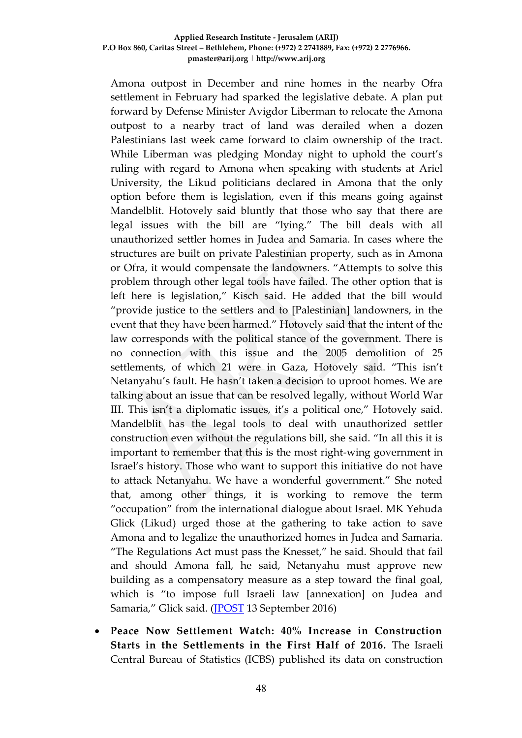Amona outpost in December and nine homes in the nearby Ofra settlement in February had sparked the legislative debate. A plan put forward by Defense Minister Avigdor Liberman to relocate the Amona outpost to a nearby tract of land was derailed when a dozen Palestinians last week came forward to claim ownership of the tract. While Liberman was pledging Monday night to uphold the court's ruling with regard to Amona when speaking with students at Ariel University, the Likud politicians declared in Amona that the only option before them is legislation, even if this means going against Mandelblit. Hotovely said bluntly that those who say that there are legal issues with the bill are "lying." The bill deals with all unauthorized settler homes in Judea and Samaria. In cases where the structures are built on private Palestinian property, such as in Amona or Ofra, it would compensate the landowners. "Attempts to solve this problem through other legal tools have failed. The other option that is left here is legislation," Kisch said. He added that the bill would "provide justice to the settlers and to [Palestinian] landowners, in the event that they have been harmed." Hotovely said that the intent of the law corresponds with the political stance of the government. There is no connection with this issue and the 2005 demolition of 25 settlements, of which 21 were in Gaza, Hotovely said. "This isn't Netanyahu's fault. He hasn't taken a decision to uproot homes. We are talking about an issue that can be resolved legally, without World War III. This isn't a diplomatic issues, it's a political one," Hotovely said. Mandelblit has the legal tools to deal with unauthorized settler construction even without the regulations bill, she said. "In all this it is important to remember that this is the most right-wing government in Israel's history. Those who want to support this initiative do not have to attack Netanyahu. We have a wonderful government." She noted that, among other things, it is working to remove the term "occupation" from the international dialogue about Israel. MK Yehuda Glick (Likud) urged those at the gathering to take action to save Amona and to legalize the unauthorized homes in Judea and Samaria. "The Regulations Act must pass the Knesset," he said. Should that fail and should Amona fall, he said, Netanyahu must approve new building as a compensatory measure as a step toward the final goal, which is "to impose full Israeli law [annexation] on Judea and Samaria," Glick said. ([JPOST](http://www.jpost.com/Arab-Israeli-Conflict/Israeli-politicians-renew-push-to-retroactively-legalize-2000-settler-homes-467615) 13 September 2016)

 **Peace Now Settlement Watch: 40% Increase in Construction Starts in the Settlements in the First Half of 2016.** The Israeli Central Bureau of Statistics (ICBS) published its data on construction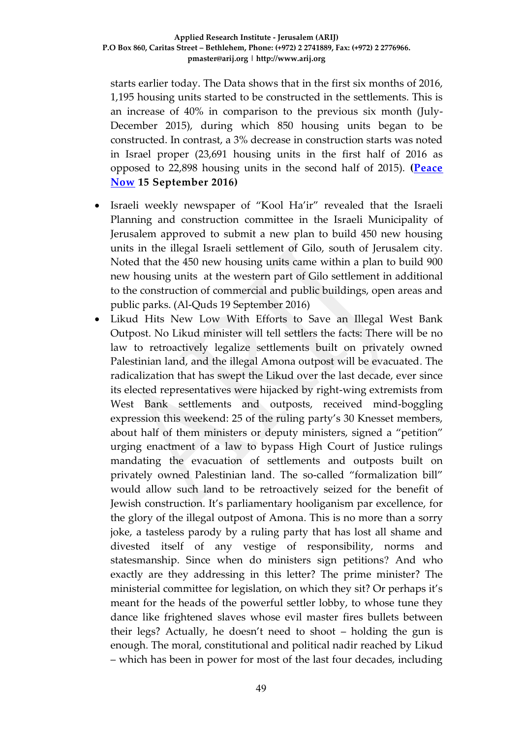starts earlier today. The Data shows that in the first six months of 2016, 1,195 housing units started to be constructed in the settlements. This is an increase of 40% in comparison to the previous six month (July-December 2015), during which 850 housing units began to be constructed. In contrast, a 3% decrease in construction starts was noted in Israel proper (23,691 housing units in the first half of 2016 as opposed to 22,898 housing units in the second half of 2015). **[\(Peace](http://peacenow.org/entry.php?id=20518#.V9o6m_l96M8)  [Now](http://peacenow.org/entry.php?id=20518#.V9o6m_l96M8) 15 September 2016)**

- Israeli weekly newspaper of "Kool Ha'ir" revealed that the Israeli Planning and construction committee in the Israeli Municipality of Jerusalem approved to submit a new plan to build 450 new housing units in the illegal Israeli settlement of Gilo, south of Jerusalem city. Noted that the 450 new housing units came within a plan to build 900 new housing units at the western part of Gilo settlement in additional to the construction of commercial and public buildings, open areas and public parks. (Al-Quds 19 September 2016)
- Likud Hits New Low With Efforts to Save an Illegal West Bank Outpost. No Likud minister will tell settlers the facts: There will be no law to retroactively legalize settlements built on privately owned Palestinian land, and the illegal Amona outpost will be evacuated. The radicalization that has swept the Likud over the last decade, ever since its elected representatives were hijacked by right-wing extremists from West Bank settlements and outposts, received mind-boggling expression this weekend: 25 of the ruling party's 30 Knesset members, about half of them ministers or deputy ministers, signed a "petition" urging enactment of a law to bypass High Court of Justice rulings mandating the evacuation of settlements and outposts built on privately owned Palestinian land. The so-called "formalization bill" would allow such land to be retroactively seized for the benefit of Jewish construction. It's parliamentary hooliganism par excellence, for the glory of the illegal outpost of Amona. This is no more than a sorry joke, a tasteless parody by a ruling party that has lost all shame and divested itself of any vestige of responsibility, norms and statesmanship. Since when do ministers sign petitions? And who exactly are they addressing in this letter? The prime minister? The ministerial committee for legislation, on which they sit? Or perhaps it's meant for the heads of the powerful settler lobby, to whose tune they dance like frightened slaves whose evil master fires bullets between their legs? Actually, he doesn't need to shoot – holding the gun is enough. The moral, constitutional and political nadir reached by Likud – which has been in power for most of the last four decades, including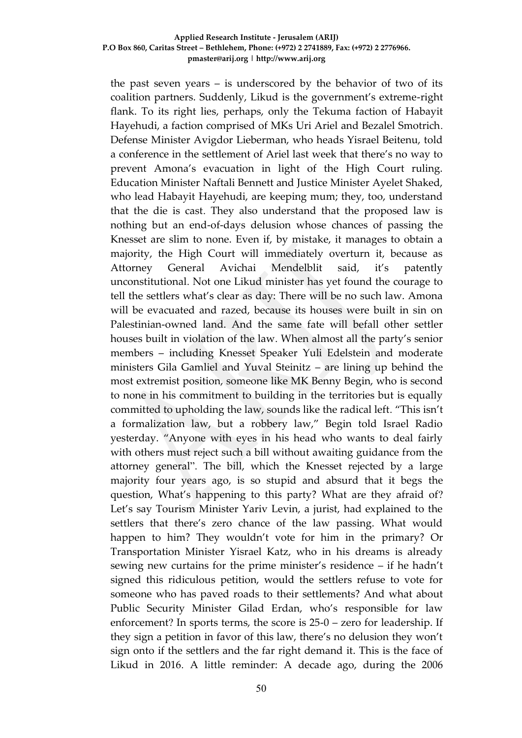the past seven years – is underscored by the behavior of two of its coalition partners. Suddenly, Likud is the government's extreme-right flank. To its right lies, perhaps, only the Tekuma faction of Habayit Hayehudi, a faction comprised of MKs Uri Ariel and Bezalel Smotrich. Defense Minister Avigdor Lieberman, who heads Yisrael Beitenu, told a conference in the settlement of Ariel last week that there's no way to prevent Amona's evacuation in light of the High Court ruling. Education Minister Naftali Bennett and Justice Minister Ayelet Shaked, who lead Habayit Hayehudi, are keeping mum; they, too, understand that the die is cast. They also understand that the proposed law is nothing but an end-of-days delusion whose chances of passing the Knesset are slim to none. Even if, by mistake, it manages to obtain a majority, the High Court will immediately overturn it, because as Attorney General Avichai Mendelblit said, it's patently unconstitutional. Not one Likud minister has yet found the courage to tell the settlers what's clear as day: There will be no such law. Amona will be evacuated and razed, because its houses were built in sin on Palestinian-owned land. And the same fate will befall other settler houses built in violation of the law. When almost all the party's senior members – including Knesset Speaker Yuli Edelstein and moderate ministers Gila Gamliel and Yuval Steinitz – are lining up behind the most extremist position, someone like MK Benny Begin, who is second to none in his commitment to building in the territories but is equally committed to upholding the law, sounds like the radical left. "This isn't a formalization law, but a robbery law," Begin told Israel Radio yesterday. "Anyone with eyes in his head who wants to deal fairly with others must reject such a bill without awaiting guidance from the attorney general". The bill, which the Knesset rejected by a large majority four years ago, is so stupid and absurd that it begs the question, What's happening to this party? What are they afraid of? Let's say Tourism Minister Yariv Levin, a jurist, had explained to the settlers that there's zero chance of the law passing. What would happen to him? They wouldn't vote for him in the primary? Or Transportation Minister Yisrael Katz, who in his dreams is already sewing new curtains for the prime minister's residence – if he hadn't signed this ridiculous petition, would the settlers refuse to vote for someone who has paved roads to their settlements? And what about Public Security Minister Gilad Erdan, who's responsible for law enforcement? In sports terms, the score is 25-0 – zero for leadership. If they sign a petition in favor of this law, there's no delusion they won't sign onto if the settlers and the far right demand it. This is the face of Likud in 2016. A little reminder: A decade ago, during the 2006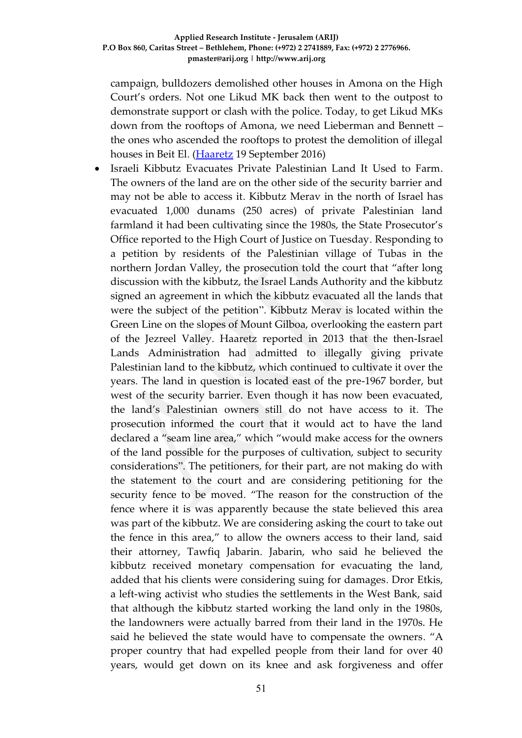campaign, bulldozers demolished other houses in Amona on the High Court's orders. Not one Likud MK back then went to the outpost to demonstrate support or clash with the police. Today, to get Likud MKs down from the rooftops of Amona, we need Lieberman and Bennett – the ones who ascended the rooftops to protest the demolition of illegal houses in Beit El. [\(Haaretz](http://www.haaretz.com/israel-news/.premium-1.742802) 19 September 2016)

 Israeli Kibbutz Evacuates Private Palestinian Land It Used to Farm. The owners of the land are on the other side of the security barrier and may not be able to access it. Kibbutz Merav in the north of Israel has evacuated 1,000 dunams (250 acres) of private Palestinian land farmland it had been cultivating since the 1980s, the State Prosecutor's Office reported to the High Court of Justice on Tuesday. Responding to a petition by residents of the Palestinian village of Tubas in the northern Jordan Valley, the prosecution told the court that "after long discussion with the kibbutz, the Israel Lands Authority and the kibbutz signed an agreement in which the kibbutz evacuated all the lands that were the subject of the petition". Kibbutz Merav is located within the Green Line on the slopes of Mount Gilboa, overlooking the eastern part of the Jezreel Valley. Haaretz reported in 2013 that the then-Israel Lands Administration had admitted to illegally giving private Palestinian land to the kibbutz, which continued to cultivate it over the years. The land in question is located east of the pre-1967 border, but west of the security barrier. Even though it has now been evacuated, the land's Palestinian owners still do not have access to it. The prosecution informed the court that it would act to have the land declared a "seam line area," which "would make access for the owners of the land possible for the purposes of cultivation, subject to security considerations". The petitioners, for their part, are not making do with the statement to the court and are considering petitioning for the security fence to be moved. "The reason for the construction of the fence where it is was apparently because the state believed this area was part of the kibbutz. We are considering asking the court to take out the fence in this area," to allow the owners access to their land, said their attorney, Tawfiq Jabarin. Jabarin, who said he believed the kibbutz received monetary compensation for evacuating the land, added that his clients were considering suing for damages. Dror Etkis, a left-wing activist who studies the settlements in the West Bank, said that although the kibbutz started working the land only in the 1980s, the landowners were actually barred from their land in the 1970s. He said he believed the state would have to compensate the owners. "A proper country that had expelled people from their land for over 40 years, would get down on its knee and ask forgiveness and offer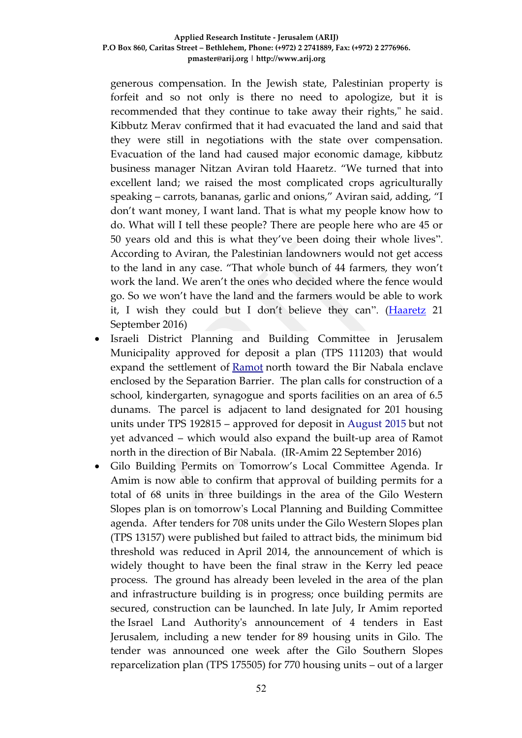generous compensation. In the Jewish state, Palestinian property is forfeit and so not only is there no need to apologize, but it is recommended that they continue to take away their rights," he said. Kibbutz Merav confirmed that it had evacuated the land and said that they were still in negotiations with the state over compensation. Evacuation of the land had caused major economic damage, kibbutz business manager Nitzan Aviran told Haaretz. "We turned that into excellent land; we raised the most complicated crops agriculturally speaking – carrots, bananas, garlic and onions," Aviran said, adding, "I don't want money, I want land. That is what my people know how to do. What will I tell these people? There are people here who are 45 or 50 years old and this is what they've been doing their whole lives". According to Aviran, the Palestinian landowners would not get access to the land in any case. "That whole bunch of 44 farmers, they won't work the land. We aren't the ones who decided where the fence would go. So we won't have the land and the farmers would be able to work it, I wish they could but I don't believe they can". [\(Haaretz](http://www.haaretz.com/israel-news/.premium-1.743335) 21 September 2016)

- Israeli District Planning and Building Committee in Jerusalem Municipality approved for deposit a plan (TPS 111203) that would expand the settlement of [Ramot](http://www.altro.co.il/uploads/252/File/Greater%20Jerusalem%20Eng%202015.jpg) north toward the Bir Nabala enclave enclosed by the Separation Barrier. The plan calls for construction of a school, kindergarten, synagogue and sports facilities on an area of 6.5 dunams. The parcel is adjacent to land designated for 201 housing units under TPS 192815 – approved for deposit in August 2015 but not yet advanced – which would also expand the built-up area of Ramot north in the direction of Bir Nabala. (IR-Amim 22 September 2016)
- Gilo Building Permits on Tomorrow's Local Committee Agenda. Ir Amim is now able to confirm that approval of building permits for a total of 68 units in three buildings in the area of the Gilo Western Slopes plan is on tomorrow's Local Planning and Building Committee agenda. After tenders for 708 units under the Gilo Western Slopes plan (TPS 13157) were published but failed to attract bids, the minimum bid threshold was reduced in April 2014, the announcement of which is widely thought to have been the final straw in the Kerry led peace process. The ground has already been leveled in the area of the plan and infrastructure building is in progress; once building permits are secured, construction can be launched. In late July, Ir Amim reported the Israel Land Authority's announcement of 4 tenders in East Jerusalem, including a new tender for 89 housing units in Gilo. The tender was announced one week after the Gilo Southern Slopes reparcelization plan (TPS 175505) for 770 housing units – out of a larger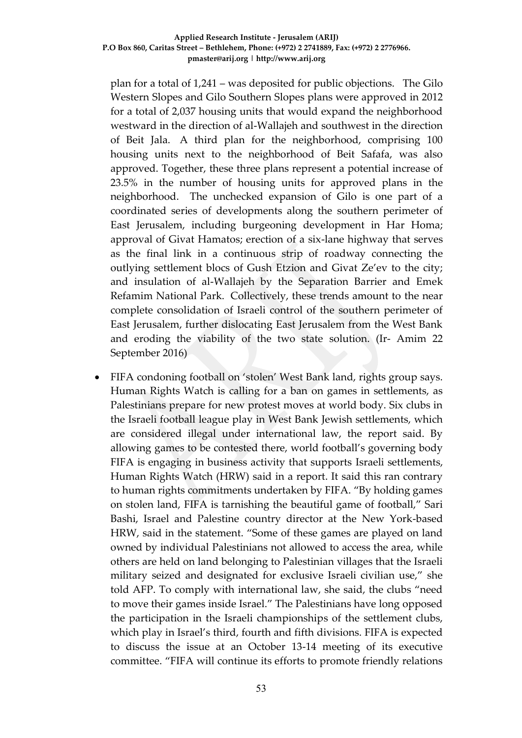plan for a total of 1,241 – was deposited for public objections. [The Gilo](http://www.altro.co.il/uploads/252/File/Greater%20Jerusalem%202016-small.pdf)  [Western Slopes and Gilo Southern Slopes plans](http://www.altro.co.il/uploads/252/File/Greater%20Jerusalem%202016-small.pdf) were approved in 2012 for a total of 2,037 housing units that would expand the neighborhood westward in the direction of al-Wallajeh and southwest in the direction of Beit Jala. A third plan for the neighborhood, comprising 100 housing units next to the neighborhood of Beit Safafa, was also approved. Together, these three plans represent a potential increase of 23.5% in the number of housing units for approved plans in the neighborhood. The unchecked expansion of Gilo is one part of a coordinated series of developments along the southern perimeter of East Jerusalem, including burgeoning development in Har Homa; approval of Givat Hamatos; erection of a six-lane highway that serves as the final link in a continuous strip of roadway connecting the outlying settlement blocs of Gush Etzion and Givat Ze'ev to the city; and insulation of al-Wallajeh by the Separation Barrier and Emek Refamim National Park. Collectively, these trends amount to the near complete consolidation of Israeli control of the southern perimeter of East Jerusalem, further dislocating East Jerusalem from the West Bank and eroding the viability of the two state solution. (Ir- Amim 22 September 2016)

 FIFA condoning football on 'stolen' West Bank land, rights group says. Human Rights Watch is calling for a ban on games in settlements, as Palestinians prepare for new protest moves at world body. Six clubs in the Israeli football league play in West Bank Jewish settlements, which are considered illegal under international law, the report said. By allowing games to be contested there, world football's governing body FIFA is engaging in business activity that supports Israeli settlements, Human Rights Watch (HRW) said in a report. It said this ran contrary to human rights commitments undertaken by FIFA. "By holding games on stolen land, FIFA is tarnishing the beautiful game of football," Sari Bashi, Israel and Palestine country director at the New York-based HRW, said in the statement. "Some of these games are played on land owned by individual Palestinians not allowed to access the area, while others are held on land belonging to Palestinian villages that the Israeli military seized and designated for exclusive Israeli civilian use," she told AFP. To comply with international law, she said, the clubs "need to move their games inside Israel." The Palestinians have long opposed the participation in the Israeli championships of the settlement clubs, which play in Israel's third, fourth and fifth divisions. FIFA is expected to discuss the issue at an October 13-14 meeting of its executive committee. "FIFA will continue its efforts to promote friendly relations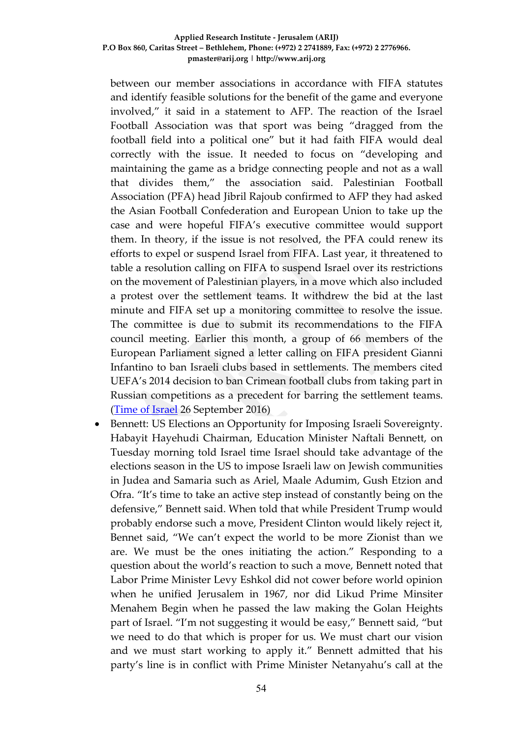between our member associations in accordance with FIFA statutes and identify feasible solutions for the benefit of the game and everyone involved," it said in a statement to AFP. The reaction of the Israel Football Association was that sport was being "dragged from the football field into a political one" but it had faith FIFA would deal correctly with the issue. It needed to focus on "developing and maintaining the game as a bridge connecting people and not as a wall that divides them," the association said. Palestinian Football Association (PFA) head Jibril Rajoub confirmed to AFP they had asked the Asian Football Confederation and European Union to take up the case and were hopeful FIFA's executive committee would support them. In theory, if the issue is not resolved, the PFA could renew its efforts to expel or suspend Israel from FIFA. Last year, it threatened to table a resolution calling on FIFA to suspend Israel over its restrictions on the movement of Palestinian players, in a move which also included a protest over the settlement teams. It withdrew the bid at the last minute and FIFA set up a monitoring committee to resolve the issue. The committee is due to submit its recommendations to the FIFA council meeting. Earlier this month, a group of 66 members of the European Parliament signed a letter calling on FIFA president Gianni Infantino to ban Israeli clubs based in settlements. The members cited UEFA's 2014 decision to ban Crimean football clubs from taking part in Russian competitions as a precedent for barring the settlement teams. [\(Time of Israel](http://www.timesofisrael.com/fifa-condoning-football-on-stolen-west-bank-land-rights-group-says/) 26 September 2016)

 Bennett: US Elections an Opportunity for Imposing Israeli Sovereignty. Habayit Hayehudi Chairman, Education Minister Naftali Bennett, on Tuesday morning told Israel time Israel should take advantage of the elections season in the US to impose Israeli law on Jewish communities in Judea and Samaria such as Ariel, Maale Adumim, Gush Etzion and Ofra. "It's time to take an active step instead of constantly being on the defensive," Bennett said. When told that while President Trump would probably endorse such a move, President Clinton would likely reject it, Bennet said, "We can't expect the world to be more Zionist than we are. We must be the ones initiating the action." Responding to a question about the world's reaction to such a move, Bennett noted that Labor Prime Minister Levy Eshkol did not cower before world opinion when he unified Jerusalem in 1967, nor did Likud Prime Minsiter Menahem Begin when he passed the law making the Golan Heights part of Israel. "I'm not suggesting it would be easy," Bennett said, "but we need to do that which is proper for us. We must chart our vision and we must start working to apply it." Bennett admitted that his party's line is in conflict with Prime Minister Netanyahu's call at the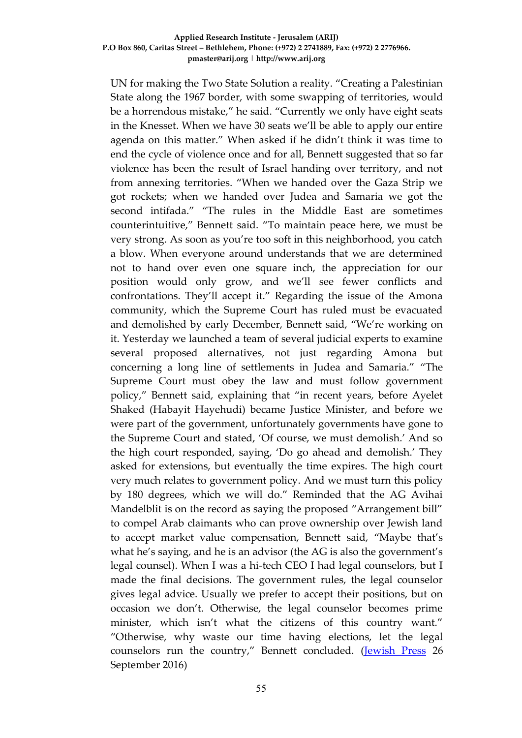UN for making the Two State Solution a reality. "Creating a Palestinian State along the 1967 border, with some swapping of territories, would be a horrendous mistake," he said. "Currently we only have eight seats in the Knesset. When we have 30 seats we'll be able to apply our entire agenda on this matter." When asked if he didn't think it was time to end the cycle of violence once and for all, Bennett suggested that so far violence has been the result of Israel handing over territory, and not from annexing territories. "When we handed over the Gaza Strip we got rockets; when we handed over Judea and Samaria we got the second intifada." "The rules in the Middle East are sometimes counterintuitive," Bennett said. "To maintain peace here, we must be very strong. As soon as you're too soft in this neighborhood, you catch a blow. When everyone around understands that we are determined not to hand over even one square inch, the appreciation for our position would only grow, and we'll see fewer conflicts and confrontations. They'll accept it." Regarding the issue of the Amona community, which the Supreme Court has ruled must be evacuated and demolished by early December, Bennett said, "We're working on it. Yesterday we launched a team of several judicial experts to examine several proposed alternatives, not just regarding Amona but concerning a long line of settlements in Judea and Samaria." "The Supreme Court must obey the law and must follow government policy," Bennett said, explaining that "in recent years, before Ayelet Shaked (Habayit Hayehudi) became Justice Minister, and before we were part of the government, unfortunately governments have gone to the Supreme Court and stated, 'Of course, we must demolish.' And so the high court responded, saying, 'Do go ahead and demolish.' They asked for extensions, but eventually the time expires. The high court very much relates to government policy. And we must turn this policy by 180 degrees, which we will do." Reminded that the AG Avihai Mandelblit is on the record as saying the proposed "Arrangement bill" to compel Arab claimants who can prove ownership over Jewish land to accept market value compensation, Bennett said, "Maybe that's what he's saying, and he is an advisor (the AG is also the government's legal counsel). When I was a hi-tech CEO I had legal counselors, but I made the final decisions. The government rules, the legal counselor gives legal advice. Usually we prefer to accept their positions, but on occasion we don't. Otherwise, the legal counselor becomes prime minister, which isn't what the citizens of this country want." "Otherwise, why waste our time having elections, let the legal counselors run the country," Bennett concluded. [\(Jewish Press](http://www.jewishpress.com/news/breaking-news/bennett-us-elections-an-opportunity-for-imposing-israeli-sovereignty/2016/09/26/) 26 September 2016)